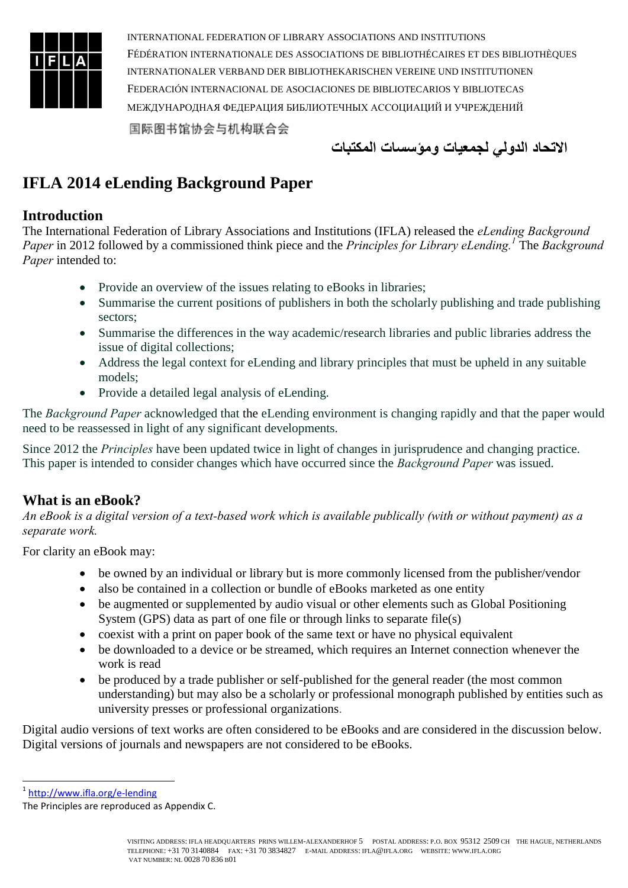

**االتحاد الدولي لجمعيات ومؤسسات المكتبات**

# **IFLA 2014 eLending Background Paper**

#### **Introduction**

The International Federation of Library Associations and Institutions (IFLA) released the *eLending Background Paper* in 2012 followed by a commissioned think piece and the *Principles for Library eLending.<sup>1</sup>* The *Background Paper* intended to:

- Provide an overview of the issues relating to eBooks in libraries;
- Summarise the current positions of publishers in both the scholarly publishing and trade publishing sectors;
- Summarise the differences in the way academic/research libraries and public libraries address the issue of digital collections;
- Address the legal context for eLending and library principles that must be upheld in any suitable models;
- Provide a detailed legal analysis of eLending.

The *Background Paper* acknowledged that the eLending environment is changing rapidly and that the paper would need to be reassessed in light of any significant developments.

Since 2012 the *Principles* have been updated twice in light of changes in jurisprudence and changing practice. This paper is intended to consider changes which have occurred since the *Background Paper* was issued.

# **What is an eBook?**

*An eBook is a digital version of a text-based work which is available publically (with or without payment) as a separate work.*

For clarity an eBook may:

- be owned by an individual or library but is more commonly licensed from the publisher/vendor
- also be contained in a collection or bundle of eBooks marketed as one entity
- be augmented or supplemented by audio visual or other elements such as Global Positioning System (GPS) data as part of one file or through links to separate file(s)
- coexist with a print on paper book of the same text or have no physical equivalent
- be downloaded to a device or be streamed, which requires an Internet connection whenever the work is read
- be produced by a trade publisher or self-published for the general reader (the most common understanding) but may also be a scholarly or professional monograph published by entities such as university presses or professional organizations.

Digital audio versions of text works are often considered to be eBooks and are considered in the discussion below. Digital versions of journals and newspapers are not considered to be eBooks.

1<br>1 <http://www.ifla.org/e-lending>

The Principles are reproduced as Appendix C.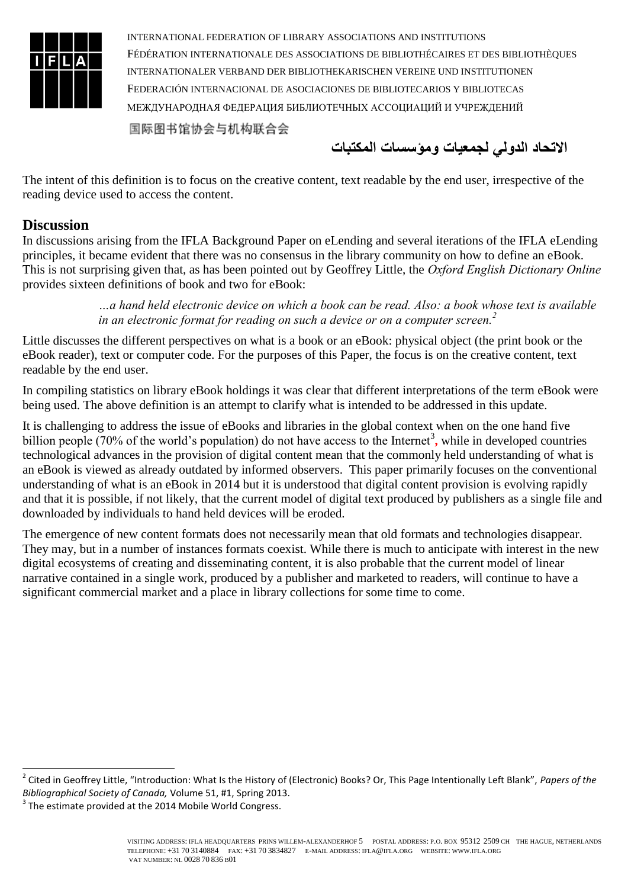

**االتحاد الدولي لجمعيات ومؤسسات المكتبات**

The intent of this definition is to focus on the creative content, text readable by the end user, irrespective of the reading device used to access the content.

#### **Discussion**

In discussions arising from the IFLA Background Paper on eLending and several iterations of the IFLA eLending principles, it became evident that there was no consensus in the library community on how to define an eBook. This is not surprising given that, as has been pointed out by Geoffrey Little, the *Oxford English Dictionary Online*  provides sixteen definitions of book and two for eBook:

> *…a hand held electronic device on which a book can be read. Also: a book whose text is available in an electronic format for reading on such a device or on a computer screen.<sup>2</sup>*

Little discusses the different perspectives on what is a book or an eBook: physical object (the print book or the eBook reader), text or computer code. For the purposes of this Paper, the focus is on the creative content, text readable by the end user.

In compiling statistics on library eBook holdings it was clear that different interpretations of the term eBook were being used. The above definition is an attempt to clarify what is intended to be addressed in this update.

It is challenging to address the issue of eBooks and libraries in the global context when on the one hand five billion people (70% of the world's population) do not have access to the Internet<sup>3</sup>, while in developed countries technological advances in the provision of digital content mean that the commonly held understanding of what is an eBook is viewed as already outdated by informed observers. This paper primarily focuses on the conventional understanding of what is an eBook in 2014 but it is understood that digital content provision is evolving rapidly and that it is possible, if not likely, that the current model of digital text produced by publishers as a single file and downloaded by individuals to hand held devices will be eroded.

The emergence of new content formats does not necessarily mean that old formats and technologies disappear. They may, but in a number of instances formats coexist. While there is much to anticipate with interest in the new digital ecosystems of creating and disseminating content, it is also probable that the current model of linear narrative contained in a single work, produced by a publisher and marketed to readers, will continue to have a significant commercial market and a place in library collections for some time to come.

-

<sup>2</sup> Cited in Geoffrey Little, "Introduction: What Is the History of (Electronic) Books? Or, This Page Intentionally Left Blank", *Papers of the Bibliographical Society of Canada,* Volume 51, #1, Spring 2013.

 $3$  The estimate provided at the 2014 Mobile World Congress.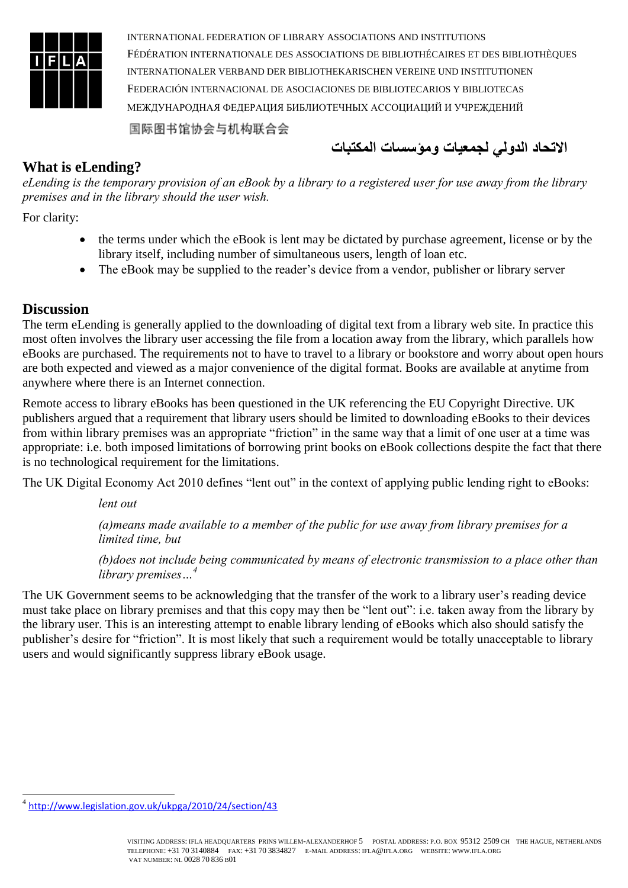

**االتحاد الدولي لجمعيات ومؤسسات المكتبات**

#### **What is eLending?**

*eLending is the temporary provision of an eBook by a library to a registered user for use away from the library premises and in the library should the user wish.* 

For clarity:

- the terms under which the eBook is lent may be dictated by purchase agreement, license or by the library itself, including number of simultaneous users, length of loan etc.
- The eBook may be supplied to the reader's device from a vendor, publisher or library server

#### **Discussion**

The term eLending is generally applied to the downloading of digital text from a library web site. In practice this most often involves the library user accessing the file from a location away from the library, which parallels how eBooks are purchased. The requirements not to have to travel to a library or bookstore and worry about open hours are both expected and viewed as a major convenience of the digital format. Books are available at anytime from anywhere where there is an Internet connection.

Remote access to library eBooks has been questioned in the UK referencing the EU Copyright Directive. UK publishers argued that a requirement that library users should be limited to downloading eBooks to their devices from within library premises was an appropriate "friction" in the same way that a limit of one user at a time was appropriate: i.e. both imposed limitations of borrowing print books on eBook collections despite the fact that there is no technological requirement for the limitations.

The UK Digital Economy Act 2010 defines "lent out" in the context of applying public lending right to eBooks:

*lent out*

*(a)means made available to a member of the public for use away from library premises for a limited time, but*

*(b)does not include being communicated by means of electronic transmission to a place other than library premises…<sup>4</sup>*

The UK Government seems to be acknowledging that the transfer of the work to a library user's reading device must take place on library premises and that this copy may then be "lent out": i.e. taken away from the library by the library user. This is an interesting attempt to enable library lending of eBooks which also should satisfy the publisher's desire for "friction". It is most likely that such a requirement would be totally unacceptable to library users and would significantly suppress library eBook usage.

<sup>-</sup>4 <http://www.legislation.gov.uk/ukpga/2010/24/section/43>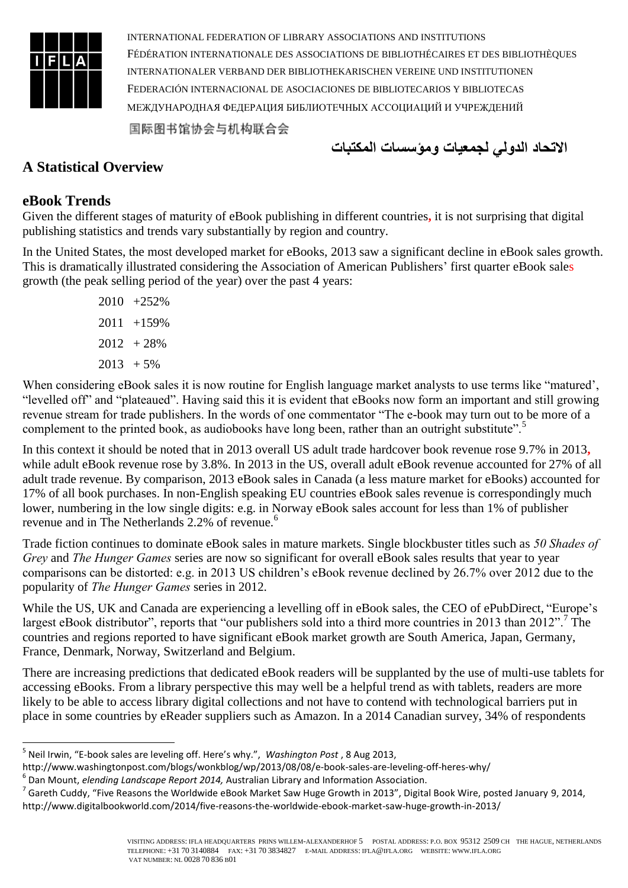

**االتحاد الدولي لجمعيات ومؤسسات المكتبات**

# **A Statistical Overview**

### **eBook Trends**

Given the different stages of maturity of eBook publishing in different countries**,** it is not surprising that digital publishing statistics and trends vary substantially by region and country.

In the United States, the most developed market for eBooks, 2013 saw a significant decline in eBook sales growth. This is dramatically illustrated considering the Association of American Publishers' first quarter eBook sales growth (the peak selling period of the year) over the past 4 years:

> 2010 +252%  $2011 + 159%$  $2012 + 28%$  $2013 + 5\%$

When considering eBook sales it is now routine for English language market analysts to use terms like "matured', "levelled off" and "plateaued". Having said this it is evident that eBooks now form an important and still growing revenue stream for trade publishers. In the words of one commentator "The e-book may turn out to be more of a complement to the printed book, as audiobooks have long been, rather than an outright substitute".<sup>5</sup>

In this context it should be noted that in 2013 overall US adult trade hardcover book revenue rose 9.7% in 2013**,**  while adult eBook revenue rose by 3.8%. In 2013 in the US, overall adult eBook revenue accounted for 27% of all adult trade revenue. By comparison, 2013 eBook sales in Canada (a less mature market for eBooks) accounted for 17% of all book purchases. In non-English speaking EU countries eBook sales revenue is correspondingly much lower, numbering in the low single digits: e.g. in Norway eBook sales account for less than 1% of publisher revenue and in The Netherlands 2.2% of revenue.<sup>6</sup>

Trade fiction continues to dominate eBook sales in mature markets. Single blockbuster titles such as *50 Shades of Grey* and *The Hunger Games* series are now so significant for overall eBook sales results that year to year comparisons can be distorted: e.g. in 2013 US children's eBook revenue declined by 26.7% over 2012 due to the popularity of *The Hunger Games* series in 2012.

While the US, UK and Canada are experiencing a levelling off in eBook sales, the CEO of ePubDirect, "Europe's largest eBook distributor", reports that "our publishers sold into a third more countries in 2013 than 2012".<sup>7</sup> The countries and regions reported to have significant eBook market growth are South America, Japan, Germany, France, Denmark, Norway, Switzerland and Belgium.

There are increasing predictions that dedicated eBook readers will be supplanted by the use of multi-use tablets for accessing eBooks. From a library perspective this may well be a helpful trend as with tablets, readers are more likely to be able to access library digital collections and not have to contend with technological barriers put in place in some countries by eReader suppliers such as Amazon. In a 2014 Canadian survey, 34% of respondents

http://www.washingtonpost.com/blogs/wonkblog/wp/2013/08/08/e-book-sales-are-leveling-off-heres-why/

<sup>-</sup>5 Neil Irwin, "E-book sales are leveling off. Here's why.", *Washington Post* , 8 Aug 2013,

<sup>6</sup> Dan Mount, *elending Landscape Report 2014,* Australian Library and Information Association.

 $^7$  Gareth Cuddy, "Five Reasons the Worldwide eBook Market Saw Huge Growth in 2013", Digital Book Wire, posted January 9, 2014, http://www.digitalbookworld.com/2014/five-reasons-the-worldwide-ebook-market-saw-huge-growth-in-2013/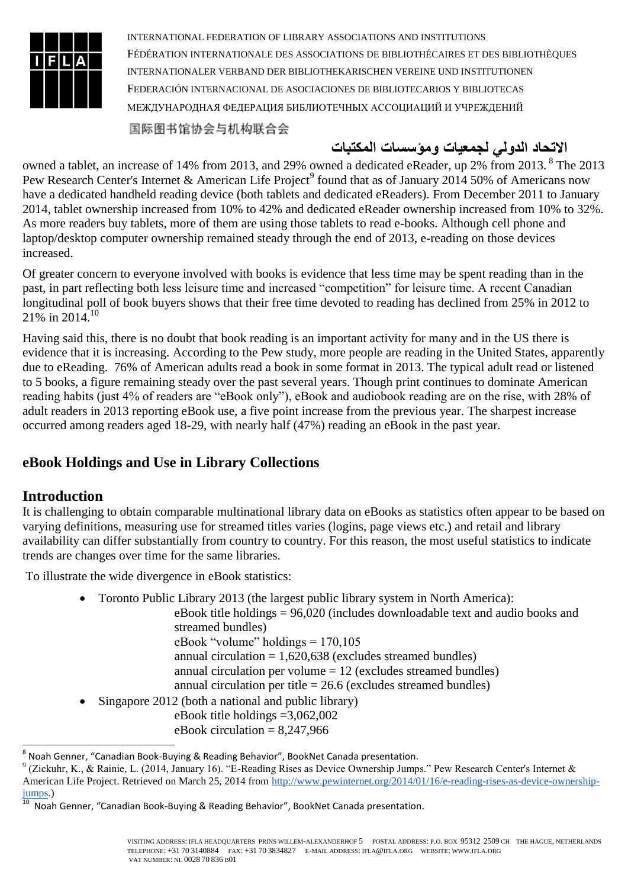

国际图书馆协会与机构联合会

# **االتحاد الدولي لجمعيات ومؤسسات المكتبات**

owned a tablet, an increase of 14% from 2013, and 29% owned a dedicated eReader, up 2% from 2013. <sup>8</sup> The 2013 Pew Research Center's Internet & American Life Project<sup>9</sup> found that as of January 2014 50% of Americans now have a dedicated handheld reading device (both tablets and dedicated eReaders). From December 2011 to January 2014, tablet ownership increased from 10% to 42% and dedicated eReader ownership increased from 10% to 32%. As more readers buy tablets, more of them are using those tablets to read e-books. Although cell phone and laptop/desktop computer ownership remained steady through the end of 2013, e-reading on those devices increased.

Of greater concern to everyone involved with books is evidence that less time may be spent reading than in the past, in part reflecting both less leisure time and increased "competition" for leisure time. A recent Canadian longitudinal poll of book buyers shows that their free time devoted to reading has declined from 25% in 2012 to  $21\%$  in 2014.<sup>10</sup>

Having said this, there is no doubt that book reading is an important activity for many and in the US there is evidence that it is increasing. According to the Pew study, more people are reading in the United States, apparently due to eReading. 76% of American adults read a book in some format in 2013. The typical adult read or listened to 5 books, a figure remaining steady over the past several years. Though print continues to dominate American reading habits (just 4% of readers are "eBook only"), eBook and audiobook reading are on the rise, with 28% of adult readers in 2013 reporting eBook use, a five point increase from the previous year. The sharpest increase occurred among readers aged 18-29, with nearly half (47%) reading an eBook in the past year.

# **eBook Holdings and Use in Library Collections**

# **Introduction**

It is challenging to obtain comparable multinational library data on eBooks as statistics often appear to be based on varying definitions, measuring use for streamed titles varies (logins, page views etc.) and retail and library availability can differ substantially from country to country. For this reason, the most useful statistics to indicate trends are changes over time for the same libraries.

To illustrate the wide divergence in eBook statistics:

Toronto Public Library 2013 (the largest public library system in North America):

eBook title holdings = 96,020 (includes downloadable text and audio books and streamed bundles) eBook "volume" holdings = 170,105 annual circulation  $= 1,620,638$  (excludes streamed bundles) annual circulation per volume  $= 12$  (excludes streamed bundles) annual circulation per title  $= 26.6$  (excludes streamed bundles)

 Singapore 2012 (both a national and public library) eBook title holdings =3,062,002 eBook circulation  $= 8,247,966$ 

 8 Noah Genner, "Canadian Book-Buying & Reading Behavior", BookNet Canada presentation.

 $9$  (Zickuhr, K., & Rainie, L. (2014, January 16). "E-Reading Rises as Device Ownership Jumps." Pew Research Center's Internet & American Life Project. Retrieved on March 25, 2014 from [http://www.pewinternet.org/2014/01/16/e-reading-rises-as-device-ownership](http://www.pewinternet.org/2014/01/16/e-reading-rises-as-device-ownership-jumps)[jumps.](http://www.pewinternet.org/2014/01/16/e-reading-rises-as-device-ownership-jumps))

<sup>&</sup>lt;sup>10</sup> Noah Genner, "Canadian Book-Buying & Reading Behavior", BookNet Canada presentation.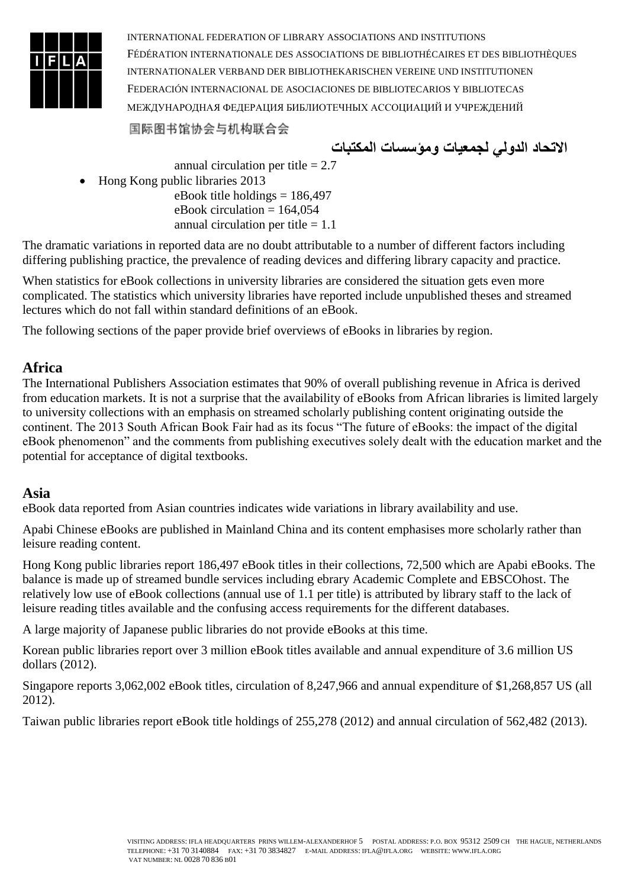

国际图书馆协会与机构联合会

**االتحاد الدولي لجمعيات ومؤسسات المكتبات**

annual circulation per title  $= 2.7$  Hong Kong public libraries 2013 eBook title holdings  $= 186,497$ eBook circulation  $= 164,054$ 

annual circulation per title  $= 1.1$ 

The dramatic variations in reported data are no doubt attributable to a number of different factors including differing publishing practice, the prevalence of reading devices and differing library capacity and practice.

When statistics for eBook collections in university libraries are considered the situation gets even more complicated. The statistics which university libraries have reported include unpublished theses and streamed lectures which do not fall within standard definitions of an eBook.

The following sections of the paper provide brief overviews of eBooks in libraries by region.

# **Africa**

The International Publishers Association estimates that 90% of overall publishing revenue in Africa is derived from education markets. It is not a surprise that the availability of eBooks from African libraries is limited largely to university collections with an emphasis on streamed scholarly publishing content originating outside the continent. The 2013 South African Book Fair had as its focus "The future of eBooks: the impact of the digital eBook phenomenon" and the comments from publishing executives solely dealt with the education market and the potential for acceptance of digital textbooks.

# **Asia**

eBook data reported from Asian countries indicates wide variations in library availability and use.

Apabi Chinese eBooks are published in Mainland China and its content emphasises more scholarly rather than leisure reading content.

Hong Kong public libraries report 186,497 eBook titles in their collections, 72,500 which are Apabi eBooks. The balance is made up of streamed bundle services including ebrary Academic Complete and EBSCOhost. The relatively low use of eBook collections (annual use of 1.1 per title) is attributed by library staff to the lack of leisure reading titles available and the confusing access requirements for the different databases.

A large majority of Japanese public libraries do not provide eBooks at this time.

Korean public libraries report over 3 million eBook titles available and annual expenditure of 3.6 million US dollars (2012).

Singapore reports 3,062,002 eBook titles, circulation of 8,247,966 and annual expenditure of \$1,268,857 US (all 2012).

Taiwan public libraries report eBook title holdings of 255,278 (2012) and annual circulation of 562,482 (2013).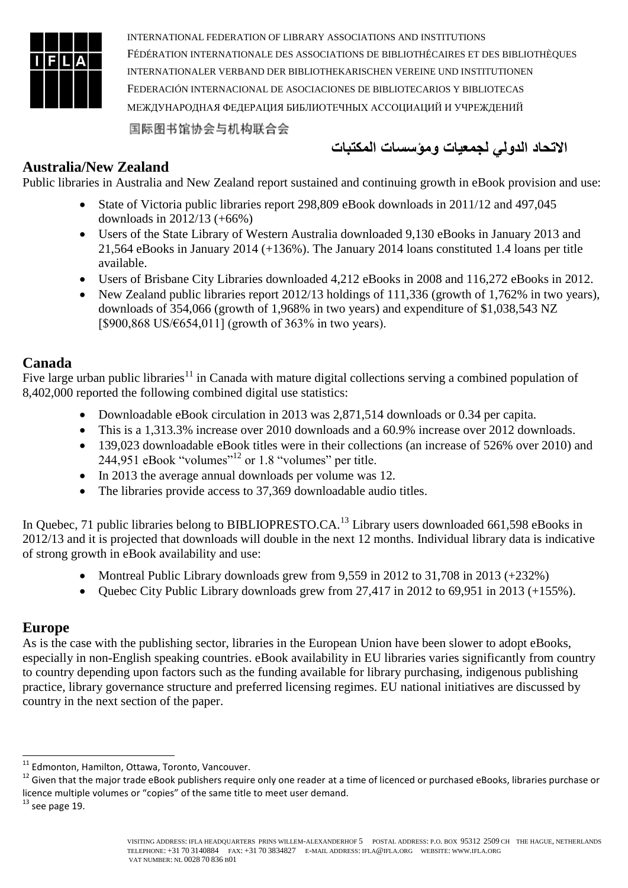

国际图书馆协会与机构联合会

**االتحاد الدولي لجمعيات ومؤسسات المكتبات**

### **Australia/New Zealand**

Public libraries in Australia and New Zealand report sustained and continuing growth in eBook provision and use:

- State of Victoria public libraries report 298,809 eBook downloads in 2011/12 and 497,045 downloads in 2012/13 (+66%)
- Users of the State Library of Western Australia downloaded 9,130 eBooks in January 2013 and 21,564 eBooks in January 2014 (+136%). The January 2014 loans constituted 1.4 loans per title available.
- Users of Brisbane City Libraries downloaded 4,212 eBooks in 2008 and 116,272 eBooks in 2012.
- New Zealand public libraries report 2012/13 holdings of 111,336 (growth of 1,762% in two years), downloads of 354,066 (growth of 1,968% in two years) and expenditure of \$1,038,543 NZ [\$900,868 US/€654,011] (growth of 363% in two years).

#### **Canada**

Five large urban public libraries<sup>11</sup> in Canada with mature digital collections serving a combined population of 8,402,000 reported the following combined digital use statistics:

- Downloadable eBook circulation in 2013 was 2,871,514 downloads or 0.34 per capita.
- This is a 1,313.3% increase over 2010 downloads and a 60.9% increase over 2012 downloads.
- 139,023 downloadable eBook titles were in their collections (an increase of 526% over 2010) and 244,951 eBook "volumes"<sup>12</sup> or 1.8 "volumes" per title.
- In 2013 the average annual downloads per volume was 12.
- The libraries provide access to 37,369 downloadable audio titles.

In Quebec, 71 public libraries belong to BIBLIOPRESTO.CA.<sup>13</sup> Library users downloaded 661,598 eBooks in 2012/13 and it is projected that downloads will double in the next 12 months. Individual library data is indicative of strong growth in eBook availability and use:

- Montreal Public Library downloads grew from 9,559 in 2012 to 31,708 in 2013 (+232%)
- Quebec City Public Library downloads grew from 27,417 in 2012 to 69,951 in 2013 (+155%).

#### **Europe**

As is the case with the publishing sector, libraries in the European Union have been slower to adopt eBooks, especially in non-English speaking countries. eBook availability in EU libraries varies significantly from country to country depending upon factors such as the funding available for library purchasing, indigenous publishing practice, library governance structure and preferred licensing regimes. EU national initiatives are discussed by country in the next section of the paper.

1

<sup>&</sup>lt;sup>11</sup> Edmonton, Hamilton, Ottawa, Toronto, Vancouver.

<sup>&</sup>lt;sup>12</sup> Given that the major trade eBook publishers require only one reader at a time of licenced or purchased eBooks, libraries purchase or licence multiple volumes or "copies" of the same title to meet user demand.

 $^{13}$  see page 19.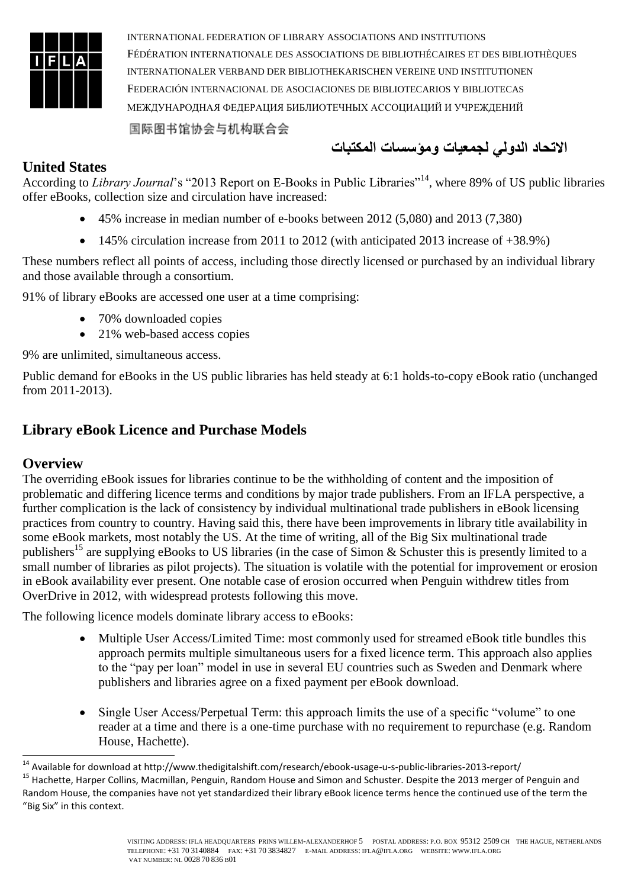

**االتحاد الدولي لجمعيات ومؤسسات المكتبات**

#### **United States**

According to *Library Journal*'s "2013 Report on E-Books in Public Libraries"<sup>14</sup>, where 89% of US public libraries offer eBooks, collection size and circulation have increased:

- 45% increase in median number of e-books between 2012 (5,080) and 2013 (7,380)
- 145% circulation increase from 2011 to 2012 (with anticipated 2013 increase of +38.9%)

These numbers reflect all points of access, including those directly licensed or purchased by an individual library and those available through a consortium.

91% of library eBooks are accessed one user at a time comprising:

- 70% downloaded copies
- 21% web-based access copies

9% are unlimited, simultaneous access.

Public demand for eBooks in the US public libraries has held steady at 6:1 holds-to-copy eBook ratio (unchanged from 2011-2013).

### **Library eBook Licence and Purchase Models**

#### **Overview**

1

The overriding eBook issues for libraries continue to be the withholding of content and the imposition of problematic and differing licence terms and conditions by major trade publishers. From an IFLA perspective, a further complication is the lack of consistency by individual multinational trade publishers in eBook licensing practices from country to country. Having said this, there have been improvements in library title availability in some eBook markets, most notably the US. At the time of writing, all of the Big Six multinational trade publishers<sup>15</sup> are supplying eBooks to US libraries (in the case of Simon & Schuster this is presently limited to a small number of libraries as pilot projects). The situation is volatile with the potential for improvement or erosion in eBook availability ever present. One notable case of erosion occurred when Penguin withdrew titles from OverDrive in 2012, with widespread protests following this move.

The following licence models dominate library access to eBooks:

- Multiple User Access/Limited Time: most commonly used for streamed eBook title bundles this approach permits multiple simultaneous users for a fixed licence term. This approach also applies to the "pay per loan" model in use in several EU countries such as Sweden and Denmark where publishers and libraries agree on a fixed payment per eBook download.
- Single User Access/Perpetual Term: this approach limits the use of a specific "volume" to one reader at a time and there is a one-time purchase with no requirement to repurchase (e.g. Random House, Hachette).

<sup>&</sup>lt;sup>14</sup> Available for download at http://www.thedigitalshift.com/research/ebook-usage-u-s-public-libraries-2013-report/

<sup>&</sup>lt;sup>15</sup> Hachette, Harper Collins, Macmillan, Penguin, Random House and Simon and Schuster. Despite the 2013 merger of Penguin and Random House, the companies have not yet standardized their library eBook licence terms hence the continued use of the term the "Big Six" in this context.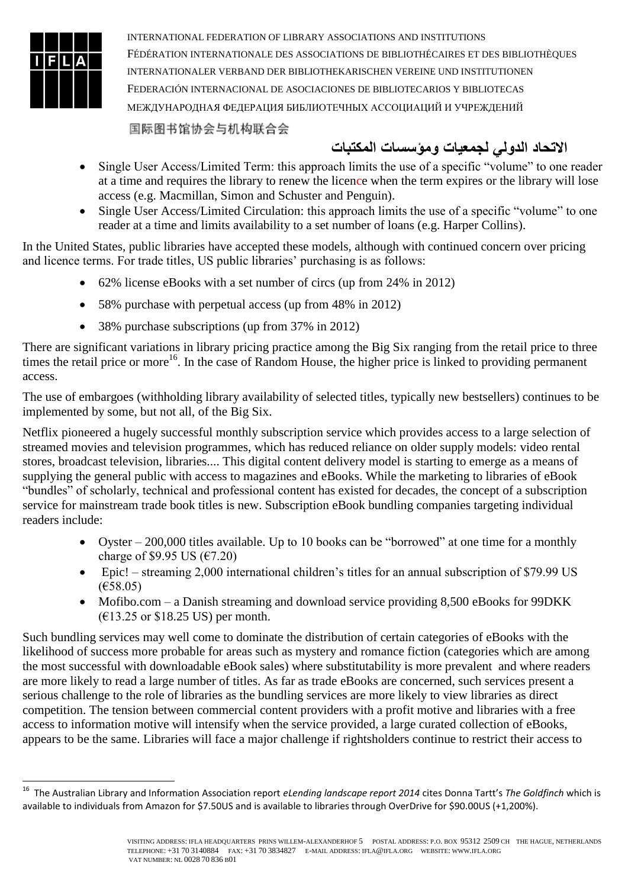

1

INTERNATIONAL FEDERATION OF LIBRARY ASSOCIATIONS AND INSTITUTIONS FÉDÉRATION INTERNATIONALE DES ASSOCIATIONS DE BIBLIOTHÉCAIRES ET DES BIBLIOTHÈQUES INTERNATIONALER VERBAND DER BIBLIOTHEKARISCHEN VEREINE UND INSTITUTIONEN FEDERACIÓN INTERNACIONAL DE ASOCIACIONES DE BIBLIOTECARIOS Y BIBLIOTECAS МЕЖДУНАРОДНАЯ ФЕДЕРАЦИЯ БИБЛИОТЕЧНЫХ АССОЦИАЦИЙ И УЧРЕЖДЕНИЙ

国际图书馆协会与机构联合会

# **االتحاد الدولي لجمعيات ومؤسسات المكتبات**

- Single User Access/Limited Term: this approach limits the use of a specific "volume" to one reader at a time and requires the library to renew the licence when the term expires or the library will lose access (e.g. Macmillan, Simon and Schuster and Penguin).
- Single User Access/Limited Circulation: this approach limits the use of a specific "volume" to one reader at a time and limits availability to a set number of loans (e.g. Harper Collins).

In the United States, public libraries have accepted these models, although with continued concern over pricing and licence terms. For trade titles, US public libraries' purchasing is as follows:

- 62% license eBooks with a set number of circs (up from 24% in 2012)
- 58% purchase with perpetual access (up from 48% in 2012)
- 38% purchase subscriptions (up from 37% in 2012)

There are significant variations in library pricing practice among the Big Six ranging from the retail price to three times the retail price or more<sup>16</sup>. In the case of Random House, the higher price is linked to providing permanent access.

The use of embargoes (withholding library availability of selected titles, typically new bestsellers) continues to be implemented by some, but not all, of the Big Six.

Netflix pioneered a hugely successful monthly subscription service which provides access to a large selection of streamed movies and television programmes, which has reduced reliance on older supply models: video rental stores, broadcast television, libraries.... This digital content delivery model is starting to emerge as a means of supplying the general public with access to magazines and eBooks. While the marketing to libraries of eBook "bundles" of scholarly, technical and professional content has existed for decades, the concept of a subscription service for mainstream trade book titles is new. Subscription eBook bundling companies targeting individual readers include:

- Oyster 200,000 titles available. Up to 10 books can be "borrowed" at one time for a monthly charge of \$9.95 US ( $\epsilon$ 7.20)
- Epic! streaming 2,000 international children's titles for an annual subscription of \$79.99 US (€58.05)
- Mofibo.com a Danish streaming and download service providing 8,500 eBooks for 99DKK (€13.25 or \$18.25 US) per month.

Such bundling services may well come to dominate the distribution of certain categories of eBooks with the likelihood of success more probable for areas such as mystery and romance fiction (categories which are among the most successful with downloadable eBook sales) where substitutability is more prevalent and where readers are more likely to read a large number of titles. As far as trade eBooks are concerned, such services present a serious challenge to the role of libraries as the bundling services are more likely to view libraries as direct competition. The tension between commercial content providers with a profit motive and libraries with a free access to information motive will intensify when the service provided, a large curated collection of eBooks, appears to be the same. Libraries will face a major challenge if rightsholders continue to restrict their access to

<sup>16</sup> The Australian Library and Information Association report *eLending landscape report 2014* cites Donna Tartt's *The Goldfinch* which is available to individuals from Amazon for \$7.50US and is available to libraries through OverDrive for \$90.00US (+1,200%).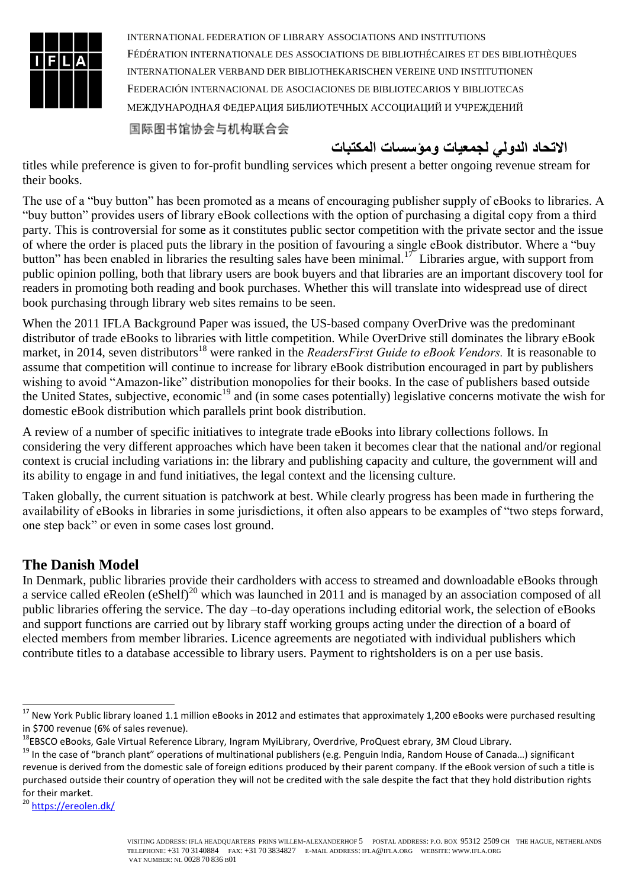

**االتحاد الدولي لجمعيات ومؤسسات المكتبات**

titles while preference is given to for-profit bundling services which present a better ongoing revenue stream for their books.

The use of a "buy button" has been promoted as a means of encouraging publisher supply of eBooks to libraries. A "buy button" provides users of library eBook collections with the option of purchasing a digital copy from a third party. This is controversial for some as it constitutes public sector competition with the private sector and the issue of where the order is placed puts the library in the position of favouring a single eBook distributor. Where a "buy button" has been enabled in libraries the resulting sales have been minimal.<sup>17</sup> Libraries argue, with support from public opinion polling, both that library users are book buyers and that libraries are an important discovery tool for readers in promoting both reading and book purchases. Whether this will translate into widespread use of direct book purchasing through library web sites remains to be seen.

When the 2011 IFLA Background Paper was issued, the US-based company OverDrive was the predominant distributor of trade eBooks to libraries with little competition. While OverDrive still dominates the library eBook market, in 2014, seven distributors<sup>18</sup> were ranked in the *ReadersFirst Guide to eBook Vendors*. It is reasonable to assume that competition will continue to increase for library eBook distribution encouraged in part by publishers wishing to avoid "Amazon-like" distribution monopolies for their books. In the case of publishers based outside the United States, subjective, economic<sup>19</sup> and (in some cases potentially) legislative concerns motivate the wish for domestic eBook distribution which parallels print book distribution.

A review of a number of specific initiatives to integrate trade eBooks into library collections follows. In considering the very different approaches which have been taken it becomes clear that the national and/or regional context is crucial including variations in: the library and publishing capacity and culture, the government will and its ability to engage in and fund initiatives, the legal context and the licensing culture.

Taken globally, the current situation is patchwork at best. While clearly progress has been made in furthering the availability of eBooks in libraries in some jurisdictions, it often also appears to be examples of "two steps forward, one step back" or even in some cases lost ground.

# **The Danish Model**

In Denmark, public libraries provide their cardholders with access to streamed and downloadable eBooks through a service called eReolen (eShelf)<sup>20</sup> which was launched in 2011 and is managed by an association composed of all public libraries offering the service. The day –to-day operations including editorial work, the selection of eBooks and support functions are carried out by library staff working groups acting under the direction of a board of elected members from member libraries. Licence agreements are negotiated with individual publishers which contribute titles to a database accessible to library users. Payment to rightsholders is on a per use basis.

<sup>20</sup> <https://ereolen.dk/>

1

<sup>&</sup>lt;sup>17</sup> New York Public library loaned 1.1 million eBooks in 2012 and estimates that approximately 1,200 eBooks were purchased resulting in \$700 revenue (6% of sales revenue).

<sup>&</sup>lt;sup>18</sup>EBSCO eBooks, Gale Virtual Reference Library, Ingram MyiLibrary, Overdrive, ProQuest ebrary, 3M Cloud Library.

<sup>&</sup>lt;sup>19</sup> In the case of "branch plant" operations of multinational publishers (e.g. Penguin India, Random House of Canada...) significant revenue is derived from the domestic sale of foreign editions produced by their parent company. If the eBook version of such a title is purchased outside their country of operation they will not be credited with the sale despite the fact that they hold distribution rights for their market.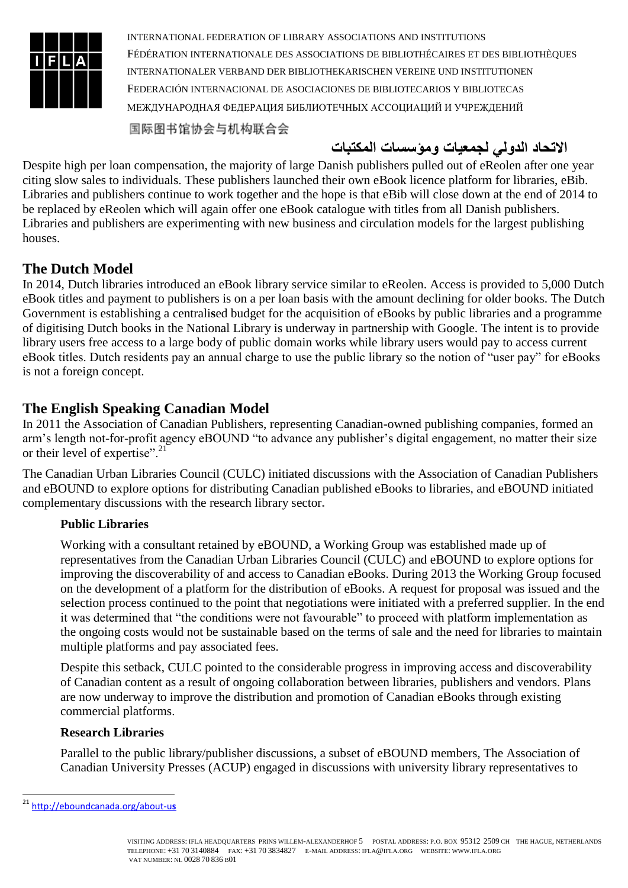

国际图书馆协会与机构联合会

# **االتحاد الدولي لجمعيات ومؤسسات المكتبات**

Despite high per loan compensation, the majority of large Danish publishers pulled out of eReolen after one year citing slow sales to individuals. These publishers launched their own eBook licence platform for libraries, eBib. Libraries and publishers continue to work together and the hope is that eBib will close down at the end of 2014 to be replaced by eReolen which will again offer one eBook catalogue with titles from all Danish publishers. Libraries and publishers are experimenting with new business and circulation models for the largest publishing houses.

# **The Dutch Model**

In 2014, Dutch libraries introduced an eBook library service similar to eReolen. Access is provided to 5,000 Dutch eBook titles and payment to publishers is on a per loan basis with the amount declining for older books. The Dutch Government is establishing a centrali**s**ed budget for the acquisition of eBooks by public libraries and a programme of digitising Dutch books in the National Library is underway in partnership with Google. The intent is to provide library users free access to a large body of public domain works while library users would pay to access current eBook titles. Dutch residents pay an annual charge to use the public library so the notion of "user pay" for eBooks is not a foreign concept.

# **The English Speaking Canadian Model**

In 2011 the Association of Canadian Publishers, representing Canadian-owned publishing companies, formed an arm's length not-for-profit agency eBOUND "to advance any publisher's digital engagement, no matter their size or their level of expertise".<sup>21</sup>

The Canadian Urban Libraries Council (CULC) initiated discussions with the Association of Canadian Publishers and eBOUND to explore options for distributing Canadian published eBooks to libraries, and eBOUND initiated complementary discussions with the research library sector**.**

#### **Public Libraries**

Working with a consultant retained by eBOUND, a Working Group was established made up of representatives from the Canadian Urban Libraries Council (CULC) and eBOUND to explore options for improving the discoverability of and access to Canadian eBooks. During 2013 the Working Group focused on the development of a platform for the distribution of eBooks. A request for proposal was issued and the selection process continued to the point that negotiations were initiated with a preferred supplier. In the end it was determined that "the conditions were not favourable" to proceed with platform implementation as the ongoing costs would not be sustainable based on the terms of sale and the need for libraries to maintain multiple platforms and pay associated fees.

Despite this setback, CULC pointed to the considerable progress in improving access and discoverability of Canadian content as a result of ongoing collaboration between libraries, publishers and vendors. Plans are now underway to improve the distribution and promotion of Canadian eBooks through existing commercial platforms.

#### **Research Libraries**

Parallel to the public library/publisher discussions, a subset of eBOUND members, The Association of Canadian University Presses (ACUP) engaged in discussions with university library representatives to

-

<sup>21</sup> [http://eboundcanada.org/about-u](http://eboundcanada.org/about-us)**s**

VISITING ADDRESS: IFLA HEADQUARTERS PRINS WILLEM-ALEXANDERHOF 5 POSTAL ADDRESS: P.O. BOX 95312 2509 CH THE HAGUE, NETHERLANDS TELEPHONE: +31 70 3140884 FAX: +31 70 3834827 E-MAIL ADDRESS: IFLA@IFLA.ORG WEBSITE: WWW.IFLA.ORG VAT NUMBER: NL 0028 70 836 B01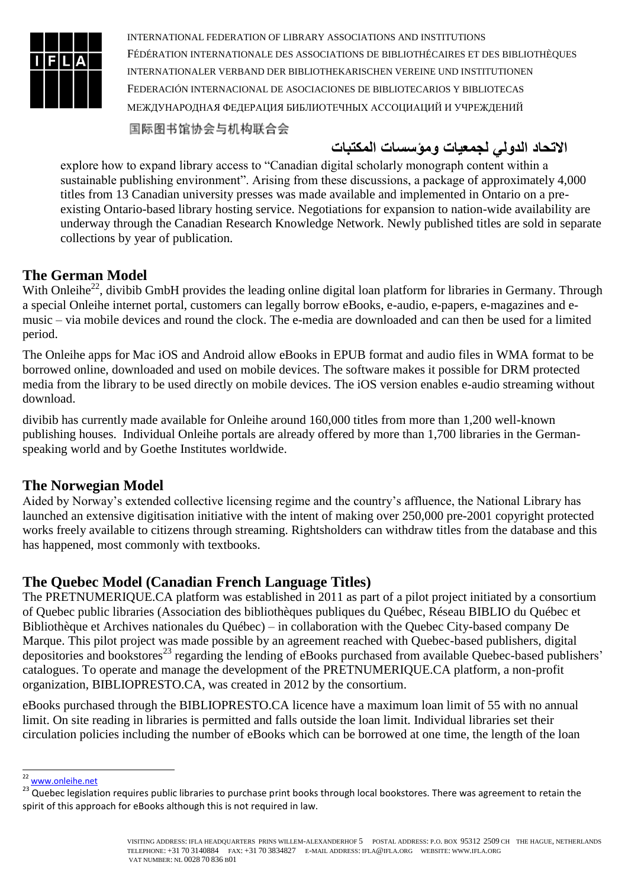

国际图书馆协会与机构联合会

**االتحاد الدولي لجمعيات ومؤسسات المكتبات**

explore how to expand library access to "Canadian digital scholarly monograph content within a sustainable publishing environment". Arising from these discussions, a package of approximately 4,000 titles from 13 Canadian university presses was made available and implemented in Ontario on a preexisting Ontario-based library hosting service. Negotiations for expansion to nation-wide availability are underway through the Canadian Research Knowledge Network. Newly published titles are sold in separate collections by year of publication.

# **The German Model**

With Onleihe<sup>22</sup>, divibib GmbH provides the leading online digital loan platform for libraries in Germany. Through a special Onleihe internet portal, customers can legally borrow eBooks, e-audio, e-papers, e-magazines and emusic – via mobile devices and round the clock. The e-media are downloaded and can then be used for a limited period.

The Onleihe apps for Mac iOS and Android allow eBooks in EPUB format and audio files in WMA format to be borrowed online, downloaded and used on mobile devices. The software makes it possible for DRM protected media from the library to be used directly on mobile devices. The iOS version enables e-audio streaming without download.

divibib has currently made available for Onleihe around 160,000 titles from more than 1,200 well-known publishing houses. Individual Onleihe portals are already offered by more than 1,700 libraries in the Germanspeaking world and by Goethe Institutes worldwide.

#### **The Norwegian Model**

Aided by Norway's extended collective licensing regime and the country's affluence, the National Library has launched an extensive digitisation initiative with the intent of making over 250,000 pre-2001 copyright protected works freely available to citizens through streaming. Rightsholders can withdraw titles from the database and this has happened, most commonly with textbooks.

# **The Quebec Model (Canadian French Language Titles)**

The PRETNUMERIQUE.CA platform was established in 2011 as part of a pilot project initiated by a consortium of Quebec public libraries (Association des bibliothèques publiques du Québec, Réseau BIBLIO du Québec et Bibliothèque et Archives nationales du Québec) – in collaboration with the Quebec City-based company De Marque. This pilot project was made possible by an agreement reached with Quebec-based publishers, digital depositories and bookstores<sup>23</sup> regarding the lending of eBooks purchased from available Quebec-based publishers' catalogues. To operate and manage the development of the PRETNUMERIQUE.CA platform, a non-profit organization, BIBLIOPRESTO.CA, was created in 2012 by the consortium.

eBooks purchased through the BIBLIOPRESTO.CA licence have a maximum loan limit of 55 with no annual limit. On site reading in libraries is permitted and falls outside the loan limit. Individual libraries set their circulation policies including the number of eBooks which can be borrowed at one time, the length of the loan

<sup>1</sup> <sup>22</sup> [www.onleihe.net](http://www.onleihe.net/)

 $23$  Quebec legislation requires public libraries to purchase print books through local bookstores. There was agreement to retain the spirit of this approach for eBooks although this is not required in law.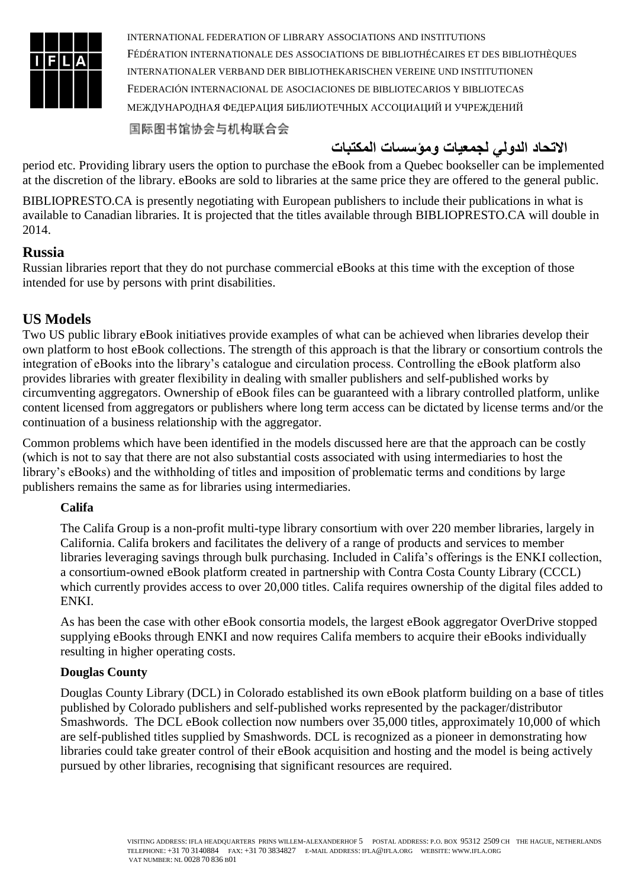

国际图书馆协会与机构联合会

# **االتحاد الدولي لجمعيات ومؤسسات المكتبات**

period etc. Providing library users the option to purchase the eBook from a Quebec bookseller can be implemented at the discretion of the library. eBooks are sold to libraries at the same price they are offered to the general public.

BIBLIOPRESTO.CA is presently negotiating with European publishers to include their publications in what is available to Canadian libraries. It is projected that the titles available through BIBLIOPRESTO.CA will double in 2014.

#### **Russia**

Russian libraries report that they do not purchase commercial eBooks at this time with the exception of those intended for use by persons with print disabilities.

#### **US Models**

Two US public library eBook initiatives provide examples of what can be achieved when libraries develop their own platform to host eBook collections. The strength of this approach is that the library or consortium controls the integration of eBooks into the library's catalogue and circulation process. Controlling the eBook platform also provides libraries with greater flexibility in dealing with smaller publishers and self-published works by circumventing aggregators. Ownership of eBook files can be guaranteed with a library controlled platform, unlike content licensed from aggregators or publishers where long term access can be dictated by license terms and/or the continuation of a business relationship with the aggregator.

Common problems which have been identified in the models discussed here are that the approach can be costly (which is not to say that there are not also substantial costs associated with using intermediaries to host the library's eBooks) and the withholding of titles and imposition of problematic terms and conditions by large publishers remains the same as for libraries using intermediaries.

#### **Califa**

The Califa Group is a non-profit multi-type library consortium with over 220 member libraries, largely in California. Califa brokers and facilitates the delivery of a range of products and services to member libraries leveraging savings through bulk purchasing. Included in Califa's offerings is the ENKI collection, a consortium-owned eBook platform created in partnership with Contra Costa County Library (CCCL) which currently provides access to over 20,000 titles. Califa requires ownership of the digital files added to ENKI.

As has been the case with other eBook consortia models, the largest eBook aggregator OverDrive stopped supplying eBooks through ENKI and now requires Califa members to acquire their eBooks individually resulting in higher operating costs.

#### **Douglas County**

Douglas County Library (DCL) in Colorado established its own eBook platform building on a base of titles published by Colorado publishers and self-published works represented by the packager/distributor Smashwords. The DCL eBook collection now numbers over 35,000 titles, approximately 10,000 of which are self-published titles supplied by Smashwords. DCL is recognized as a pioneer in demonstrating how libraries could take greater control of their eBook acquisition and hosting and the model is being actively pursued by other libraries, recogni**s**ing that significant resources are required.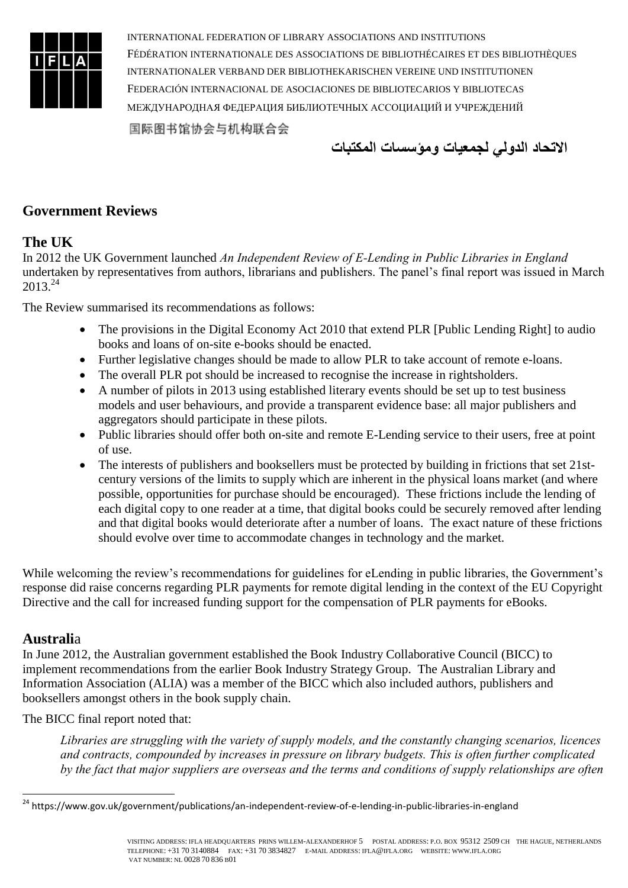

**االتحاد الدولي لجمعيات ومؤسسات المكتبات**

### **Government Reviews**

#### **The UK**

In 2012 the UK Government launched *An Independent Review of E-Lending in Public Libraries in England* undertaken by representatives from authors, librarians and publishers. The panel's final report was issued in March 2013.<sup>24</sup>

The Review summarised its recommendations as follows:

- The provisions in the Digital Economy Act 2010 that extend PLR [Public Lending Right] to audio books and loans of on-site e-books should be enacted.
- Further legislative changes should be made to allow PLR to take account of remote e-loans.
- The overall PLR pot should be increased to recognise the increase in rightsholders.
- A number of pilots in 2013 using established literary events should be set up to test business models and user behaviours, and provide a transparent evidence base: all major publishers and aggregators should participate in these pilots.
- Public libraries should offer both on-site and remote E-Lending service to their users, free at point of use.
- The interests of publishers and booksellers must be protected by building in frictions that set 21stcentury versions of the limits to supply which are inherent in the physical loans market (and where possible, opportunities for purchase should be encouraged). These frictions include the lending of each digital copy to one reader at a time, that digital books could be securely removed after lending and that digital books would deteriorate after a number of loans. The exact nature of these frictions should evolve over time to accommodate changes in technology and the market.

While welcoming the review's recommendations for guidelines for eLending in public libraries, the Government's response did raise concerns regarding PLR payments for remote digital lending in the context of the EU Copyright Directive and the call for increased funding support for the compensation of PLR payments for eBooks.

#### **Australi**a

-

In June 2012, the Australian government established the Book Industry Collaborative Council (BICC) to implement recommendations from the earlier Book Industry Strategy Group. The Australian Library and Information Association (ALIA) was a member of the BICC which also included authors, publishers and booksellers amongst others in the book supply chain.

The BICC final report noted that:

*Libraries are struggling with the variety of supply models, and the constantly changing scenarios, licences and contracts, compounded by increases in pressure on library budgets. This is often further complicated by the fact that major suppliers are overseas and the terms and conditions of supply relationships are often* 

<sup>&</sup>lt;sup>24</sup> https://www.gov.uk/government/publications/an-independent-review-of-e-lending-in-public-libraries-in-england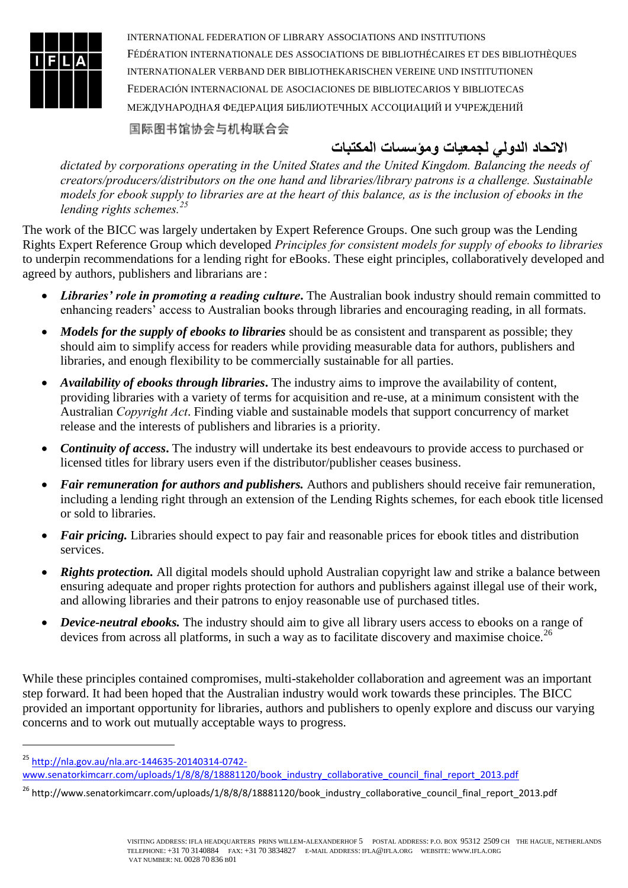

国际图书馆协会与机构联合会

**االتحاد الدولي لجمعيات ومؤسسات المكتبات**

*dictated by corporations operating in the United States and the United Kingdom. Balancing the needs of creators/producers/distributors on the one hand and libraries/library patrons is a challenge. Sustainable models for ebook supply to libraries are at the heart of this balance, as is the inclusion of ebooks in the lending rights schemes.<sup>25</sup>*

The work of the BICC was largely undertaken by Expert Reference Groups. One such group was the Lending Rights Expert Reference Group which developed *Principles for consistent models for supply of ebooks to libraries* to underpin recommendations for a lending right for eBooks. These eight principles, collaboratively developed and agreed by authors, publishers and librarians are :

- Libraries' role in promoting a reading culture. The Australian book industry should remain committed to enhancing readers' access to Australian books through libraries and encouraging reading, in all formats.
- *Models for the supply of ebooks to libraries* should be as consistent and transparent as possible; they should aim to simplify access for readers while providing measurable data for authors, publishers and libraries, and enough flexibility to be commercially sustainable for all parties.
- *Availability of ebooks through libraries***.** The industry aims to improve the availability of content, providing libraries with a variety of terms for acquisition and re-use, at a minimum consistent with the Australian *Copyright Act*. Finding viable and sustainable models that support concurrency of market release and the interests of publishers and libraries is a priority.
- *Continuity of access***.** The industry will undertake its best endeavours to provide access to purchased or licensed titles for library users even if the distributor/publisher ceases business.
- *Fair remuneration for authors and publishers.* Authors and publishers should receive fair remuneration, including a lending right through an extension of the Lending Rights schemes, for each ebook title licensed or sold to libraries.
- *Fair pricing.* Libraries should expect to pay fair and reasonable prices for ebook titles and distribution services.
- *Rights protection.* All digital models should uphold Australian copyright law and strike a balance between ensuring adequate and proper rights protection for authors and publishers against illegal use of their work, and allowing libraries and their patrons to enjoy reasonable use of purchased titles.
- *Device-neutral ebooks.* The industry should aim to give all library users access to ebooks on a range of devices from across all platforms, in such a way as to facilitate discovery and maximise choice.<sup>26</sup>

While these principles contained compromises, multi-stakeholder collaboration and agreement was an important step forward. It had been hoped that the Australian industry would work towards these principles. The BICC provided an important opportunity for libraries, authors and publishers to openly explore and discuss our varying concerns and to work out mutually acceptable ways to progress.

-

<sup>25</sup> [http://nla.gov.au/nla.arc-144635-20140314-0742-](http://nla.gov.au/nla.arc-144635-20140314-0742-www.senatorkimcarr.com/uploads/1/8/8/8/18881120/book_industry_collaborative_council_final_report_2013.pdf)

[www.senatorkimcarr.com/uploads/1/8/8/8/18881120/book\\_industry\\_collaborative\\_council\\_final\\_report\\_2013.pdf](http://nla.gov.au/nla.arc-144635-20140314-0742-www.senatorkimcarr.com/uploads/1/8/8/8/18881120/book_industry_collaborative_council_final_report_2013.pdf)

<sup>&</sup>lt;sup>26</sup> http://www.senatorkimcarr.com/uploads/1/8/8/8/18881120/book\_industry\_collaborative\_council\_final\_report\_2013.pdf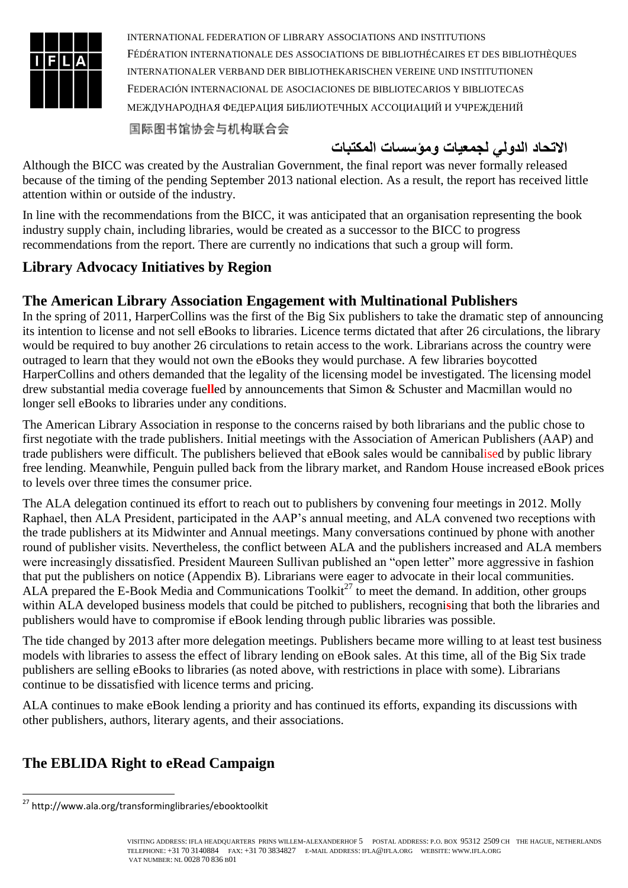

国际图书馆协会与机构联合会

# **االتحاد الدولي لجمعيات ومؤسسات المكتبات**

Although the BICC was created by the Australian Government, the final report was never formally released because of the timing of the pending September 2013 national election. As a result, the report has received little attention within or outside of the industry.

In line with the recommendations from the BICC, it was anticipated that an organisation representing the book industry supply chain, including libraries, would be created as a successor to the BICC to progress recommendations from the report. There are currently no indications that such a group will form.

# **Library Advocacy Initiatives by Region**

# **The American Library Association Engagement with Multinational Publishers**

In the spring of 2011, HarperCollins was the first of the Big Six publishers to take the dramatic step of announcing its intention to license and not sell eBooks to libraries. Licence terms dictated that after 26 circulations, the library would be required to buy another 26 circulations to retain access to the work. Librarians across the country were outraged to learn that they would not own the eBooks they would purchase. A few libraries boycotted HarperCollins and others demanded that the legality of the licensing model be investigated. The licensing model drew substantial media coverage fue**ll**ed by announcements that Simon & Schuster and Macmillan would no longer sell eBooks to libraries under any conditions.

The American Library Association in response to the concerns raised by both librarians and the public chose to first negotiate with the trade publishers. Initial meetings with the Association of American Publishers (AAP) and trade publishers were difficult. The publishers believed that eBook sales would be cannibalised by public library free lending. Meanwhile, Penguin pulled back from the library market, and Random House increased eBook prices to levels over three times the consumer price.

The ALA delegation continued its effort to reach out to publishers by convening four meetings in 2012. Molly Raphael, then ALA President, participated in the AAP's annual meeting, and ALA convened two receptions with the trade publishers at its Midwinter and Annual meetings. Many conversations continued by phone with another round of publisher visits. Nevertheless, the conflict between ALA and the publishers increased and ALA members were increasingly dissatisfied. President Maureen Sullivan published an "open letter" more aggressive in fashion that put the publishers on notice (Appendix B). Librarians were eager to advocate in their local communities. ALA prepared the E-Book Media and Communications  $Toolkit^{27}$  to meet the demand. In addition, other groups within ALA developed business models that could be pitched to publishers, recogni**s**ing that both the libraries and publishers would have to compromise if eBook lending through public libraries was possible.

The tide changed by 2013 after more delegation meetings. Publishers became more willing to at least test business models with libraries to assess the effect of library lending on eBook sales. At this time, all of the Big Six trade publishers are selling eBooks to libraries (as noted above, with restrictions in place with some). Librarians continue to be dissatisfied with licence terms and pricing.

ALA continues to make eBook lending a priority and has continued its efforts, expanding its discussions with other publishers, authors, literary agents, and their associations.

# **The EBLIDA Right to eRead Campaign**

<sup>-</sup><sup>27</sup> http://www.ala.org/transforminglibraries/ebooktoolkit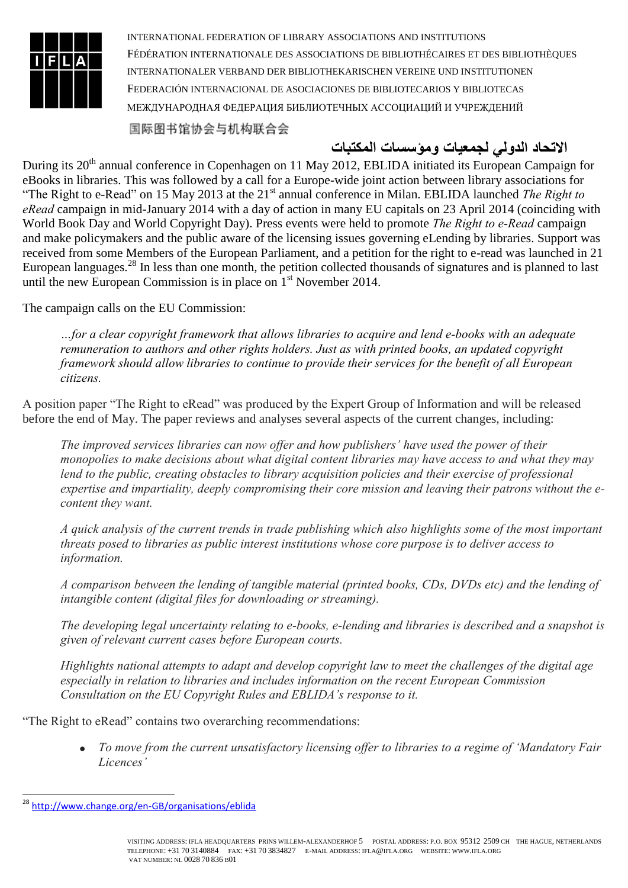

国际图书馆协会与机构联合会

# **االتحاد الدولي لجمعيات ومؤسسات المكتبات**

During its 20<sup>th</sup> annual conference in Copenhagen on 11 May 2012, EBLIDA initiated its European Campaign for eBooks in libraries. This was followed by a call for a Europe-wide joint action between library associations for "The Right to e-Read" on 15 May 2013 at the 21<sup>st</sup> annual conference in Milan. EBLIDA launched *The Right to eRead* campaign in mid-January 2014 with a day of action in many EU capitals on 23 April 2014 (coinciding with World Book Day and World Copyright Day). Press events were held to promote *The Right to e-Read* campaign and make policymakers and the public aware of the licensing issues governing eLending by libraries. Support was received from some Members of the European Parliament, and a petition for the right to e-read was launched in 21 European languages.<sup>28</sup> In less than one month, the petition collected thousands of signatures and is planned to last until the new European Commission is in place on  $1<sup>st</sup>$  November 2014.

The campaign calls on the EU Commission:

*…for a clear copyright framework that allows libraries to acquire and lend e-books with an adequate remuneration to authors and other rights holders. Just as with printed books, an updated copyright framework should allow libraries to continue to provide their services for the benefit of all European citizens.*

A position paper "The Right to eRead" was produced by the Expert Group of Information and will be released before the end of May. The paper reviews and analyses several aspects of the current changes, including:

*The improved services libraries can now offer and how publishers' have used the power of their monopolies to make decisions about what digital content libraries may have access to and what they may lend to the public, creating obstacles to library acquisition policies and their exercise of professional expertise and impartiality, deeply compromising their core mission and leaving their patrons without the econtent they want.* 

*A quick analysis of the current trends in trade publishing which also highlights some of the most important threats posed to libraries as public interest institutions whose core purpose is to deliver access to information.* 

*A comparison between the lending of tangible material (printed books, CDs, DVDs etc) and the lending of intangible content (digital files for downloading or streaming).* 

*The developing legal uncertainty relating to e-books, e-lending and libraries is described and a snapshot is given of relevant current cases before European courts.*

*Highlights national attempts to adapt and develop copyright law to meet the challenges of the digital age especially in relation to libraries and includes information on the recent European Commission Consultation on the EU Copyright Rules and EBLIDA's response to it.*

"The Right to eRead" contains two overarching recommendations:

 *To move from the current unsatisfactory licensing offer to libraries to a regime of 'Mandatory Fair Licences'* 

<sup>28</sup> <http://www.change.org/en-GB/organisations/eblida>

VISITING ADDRESS: IFLA HEADQUARTERS PRINS WILLEM-ALEXANDERHOF 5 POSTAL ADDRESS: P.O. BOX 95312 2509 CH THE HAGUE, NETHERLANDS TELEPHONE: +31 70 3140884 FAX: +31 70 3834827 E-MAIL ADDRESS: IFLA@IFLA.ORG WEBSITE: WWW.IFLA.ORG VAT NUMBER: NL 0028 70 836 B01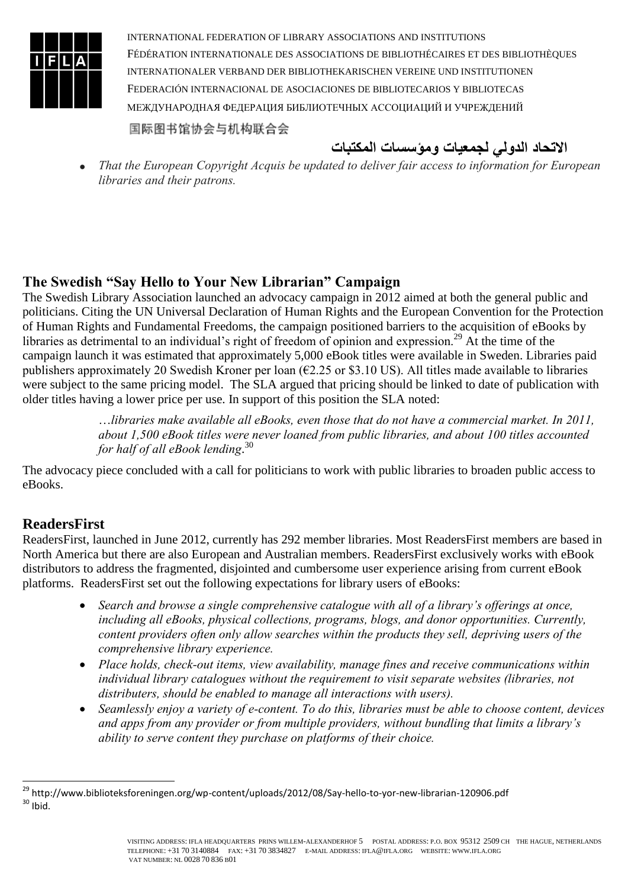

**االتحاد الدولي لجمعيات ومؤسسات المكتبات**

 *That the European Copyright Acquis be updated to deliver fair access to information for European libraries and their patrons.*

### **The Swedish "Say Hello to Your New Librarian" Campaign**

The Swedish Library Association launched an advocacy campaign in 2012 aimed at both the general public and politicians. Citing the UN Universal Declaration of Human Rights and the European Convention for the Protection of Human Rights and Fundamental Freedoms, the campaign positioned barriers to the acquisition of eBooks by libraries as detrimental to an individual's right of freedom of opinion and expression.<sup>29</sup> At the time of the campaign launch it was estimated that approximately 5,000 eBook titles were available in Sweden. Libraries paid publishers approximately 20 Swedish Kroner per loan ( $\epsilon$ 2.25 or \$3.10 US). All titles made available to libraries were subject to the same pricing model. The SLA argued that pricing should be linked to date of publication with older titles having a lower price per use. In support of this position the SLA noted:

> …*libraries make available all eBooks, even those that do not have a commercial market. In 2011, about 1,500 eBook titles were never loaned from public libraries, and about 100 titles accounted for half of all eBook lending*. 30

The advocacy piece concluded with a call for politicians to work with public libraries to broaden public access to eBooks.

# **ReadersFirst**

ReadersFirst, launched in June 2012, currently has 292 member libraries. Most ReadersFirst members are based in North America but there are also European and Australian members. ReadersFirst exclusively works with eBook distributors to address the fragmented, disjointed and cumbersome user experience arising from current eBook platforms. ReadersFirst set out the following expectations for library users of eBooks:

- *Search and browse a single comprehensive catalogue with all of a library's offerings at once, including all eBooks, physical collections, programs, blogs, and donor opportunities. Currently, content providers often only allow searches within the products they sell, depriving users of the comprehensive library experience.*
- *Place holds, check-out items, view availability, manage fines and receive communications within individual library catalogues without the requirement to visit separate websites (libraries, not distributers, should be enabled to manage all interactions with users).*
- *Seamlessly enjoy a variety of e-content. To do this, libraries must be able to choose content, devices and apps from any provider or from multiple providers, without bundling that limits a library's ability to serve content they purchase on platforms of their choice.*

<sup>1</sup> <sup>29</sup> http://www.biblioteksforeningen.org/wp-content/uploads/2012/08/Say-hello-to-yor-new-librarian-120906.pdf  $30$  Ibid.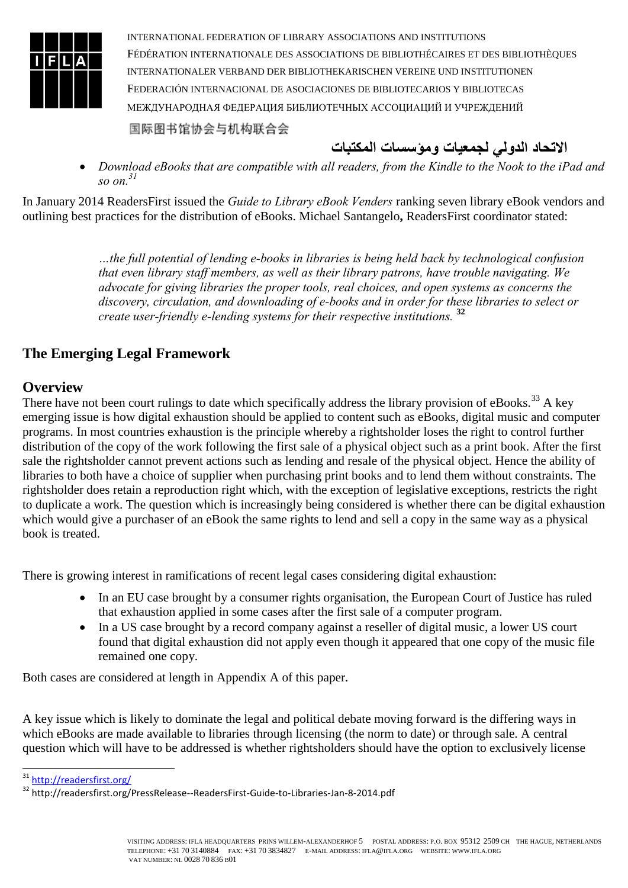

- **االتحاد الدولي لجمعيات ومؤسسات المكتبات**
- *Download eBooks that are compatible with all readers, from the Kindle to the Nook to the iPad and so on. 31*

In January 2014 ReadersFirst issued the *Guide to Library eBook Venders* ranking seven library eBook vendors and outlining best practices for the distribution of eBooks. Michael Santangelo**,** ReadersFirst coordinator stated:

> *…the full potential of lending e-books in libraries is being held back by technological confusion that even library staff members, as well as their library patrons, have trouble navigating. We advocate for giving libraries the proper tools, real choices, and open systems as concerns the discovery, circulation, and downloading of e-books and in order for these libraries to select or create user-friendly e-lending systems for their respective institutions.* **<sup>32</sup>**

# **The Emerging Legal Framework**

### **Overview**

There have not been court rulings to date which specifically address the library provision of eBooks.<sup>33</sup> A key emerging issue is how digital exhaustion should be applied to content such as eBooks, digital music and computer programs. In most countries exhaustion is the principle whereby a rightsholder loses the right to control further distribution of the copy of the work following the first sale of a physical object such as a print book. After the first sale the rightsholder cannot prevent actions such as lending and resale of the physical object. Hence the ability of libraries to both have a choice of supplier when purchasing print books and to lend them without constraints. The rightsholder does retain a reproduction right which, with the exception of legislative exceptions, restricts the right to duplicate a work. The question which is increasingly being considered is whether there can be digital exhaustion which would give a purchaser of an eBook the same rights to lend and sell a copy in the same way as a physical book is treated.

There is growing interest in ramifications of recent legal cases considering digital exhaustion:

- In an EU case brought by a consumer rights organisation, the European Court of Justice has ruled that exhaustion applied in some cases after the first sale of a computer program.
- In a US case brought by a record company against a reseller of digital music, a lower US court found that digital exhaustion did not apply even though it appeared that one copy of the music file remained one copy.

Both cases are considered at length in Appendix A of this paper.

A key issue which is likely to dominate the legal and political debate moving forward is the differing ways in which eBooks are made available to libraries through licensing (the norm to date) or through sale. A central question which will have to be addressed is whether rightsholders should have the option to exclusively license

<sup>31</sup> <http://readersfirst.org/>

<sup>32</sup> http://readersfirst.org/PressRelease--ReadersFirst-Guide-to-Libraries-Jan-8-2014.pdf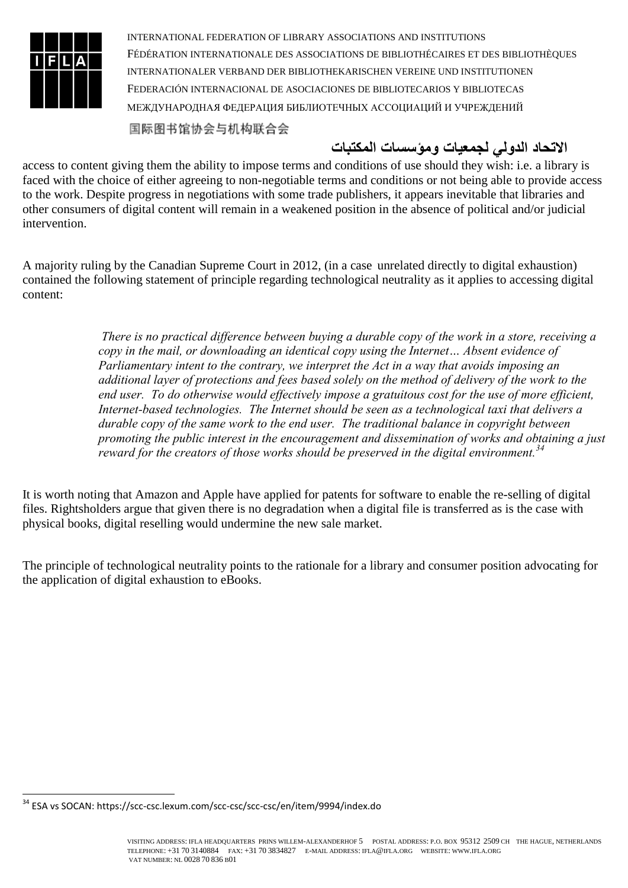

国际图书馆协会与机构联合会

# **االتحاد الدولي لجمعيات ومؤسسات المكتبات**

access to content giving them the ability to impose terms and conditions of use should they wish: i.e. a library is faced with the choice of either agreeing to non-negotiable terms and conditions or not being able to provide access to the work. Despite progress in negotiations with some trade publishers, it appears inevitable that libraries and other consumers of digital content will remain in a weakened position in the absence of political and/or judicial intervention.

A majority ruling by the Canadian Supreme Court in 2012, (in a case unrelated directly to digital exhaustion) contained the following statement of principle regarding technological neutrality as it applies to accessing digital content:

> *There is no practical difference between buying a durable copy of the work in a store, receiving a copy in the mail, or downloading an identical copy using the Internet… Absent evidence of Parliamentary intent to the contrary, we interpret the Act in a way that avoids imposing an additional layer of protections and fees based solely on the method of delivery of the work to the end user. To do otherwise would effectively impose a gratuitous cost for the use of more efficient, Internet-based technologies. The Internet should be seen as a technological taxi that delivers a durable copy of the same work to the end user. The traditional balance in copyright between promoting the public interest in the encouragement and dissemination of works and obtaining a just reward for the creators of those works should be preserved in the digital environment.<sup>34</sup>*

It is worth noting that Amazon and Apple have applied for patents for software to enable the re-selling of digital files. Rightsholders argue that given there is no degradation when a digital file is transferred as is the case with physical books, digital reselling would undermine the new sale market.

The principle of technological neutrality points to the rationale for a library and consumer position advocating for the application of digital exhaustion to eBooks.

<sup>-</sup><sup>34</sup> ESA vs SOCAN: https://scc-csc.lexum.com/scc-csc/scc-csc/en/item/9994/index.do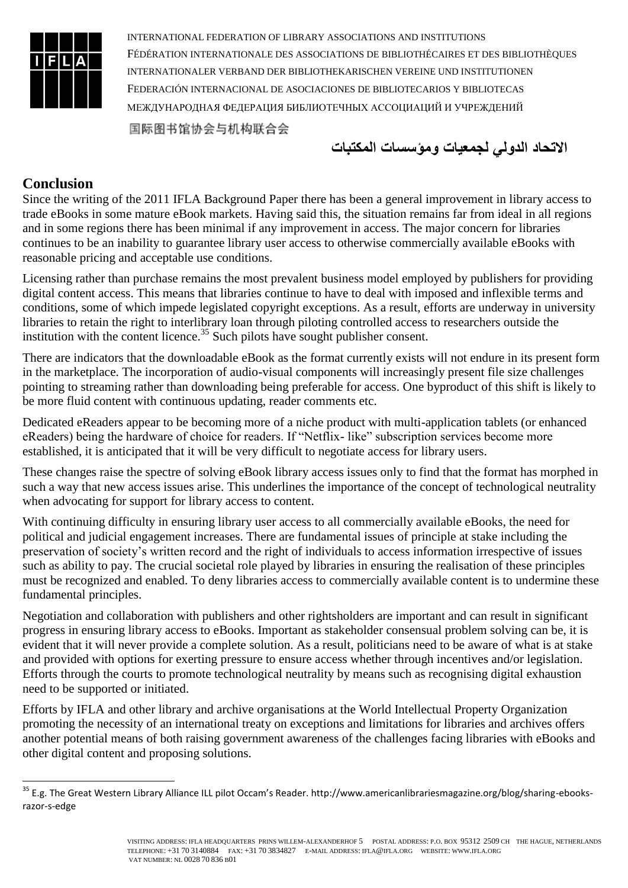

**االتحاد الدولي لجمعيات ومؤسسات المكتبات**

### **Conclusion**

1

Since the writing of the 2011 IFLA Background Paper there has been a general improvement in library access to trade eBooks in some mature eBook markets. Having said this, the situation remains far from ideal in all regions and in some regions there has been minimal if any improvement in access. The major concern for libraries continues to be an inability to guarantee library user access to otherwise commercially available eBooks with reasonable pricing and acceptable use conditions.

Licensing rather than purchase remains the most prevalent business model employed by publishers for providing digital content access. This means that libraries continue to have to deal with imposed and inflexible terms and conditions, some of which impede legislated copyright exceptions. As a result, efforts are underway in university libraries to retain the right to interlibrary loan through piloting controlled access to researchers outside the institution with the content licence.<sup>35</sup> Such pilots have sought publisher consent.

There are indicators that the downloadable eBook as the format currently exists will not endure in its present form in the marketplace. The incorporation of audio-visual components will increasingly present file size challenges pointing to streaming rather than downloading being preferable for access. One byproduct of this shift is likely to be more fluid content with continuous updating, reader comments etc.

Dedicated eReaders appear to be becoming more of a niche product with multi-application tablets (or enhanced eReaders) being the hardware of choice for readers. If "Netflix- like" subscription services become more established, it is anticipated that it will be very difficult to negotiate access for library users.

These changes raise the spectre of solving eBook library access issues only to find that the format has morphed in such a way that new access issues arise. This underlines the importance of the concept of technological neutrality when advocating for support for library access to content.

With continuing difficulty in ensuring library user access to all commercially available eBooks, the need for political and judicial engagement increases. There are fundamental issues of principle at stake including the preservation of society's written record and the right of individuals to access information irrespective of issues such as ability to pay. The crucial societal role played by libraries in ensuring the realisation of these principles must be recognized and enabled. To deny libraries access to commercially available content is to undermine these fundamental principles.

Negotiation and collaboration with publishers and other rightsholders are important and can result in significant progress in ensuring library access to eBooks. Important as stakeholder consensual problem solving can be, it is evident that it will never provide a complete solution. As a result, politicians need to be aware of what is at stake and provided with options for exerting pressure to ensure access whether through incentives and/or legislation. Efforts through the courts to promote technological neutrality by means such as recognising digital exhaustion need to be supported or initiated.

Efforts by IFLA and other library and archive organisations at the World Intellectual Property Organization promoting the necessity of an international treaty on exceptions and limitations for libraries and archives offers another potential means of both raising government awareness of the challenges facing libraries with eBooks and other digital content and proposing solutions.

<sup>&</sup>lt;sup>35</sup> E.g. The Great Western Library Alliance ILL pilot Occam's Reader. http://www.americanlibrariesmagazine.org/blog/sharing-ebooksrazor-s-edge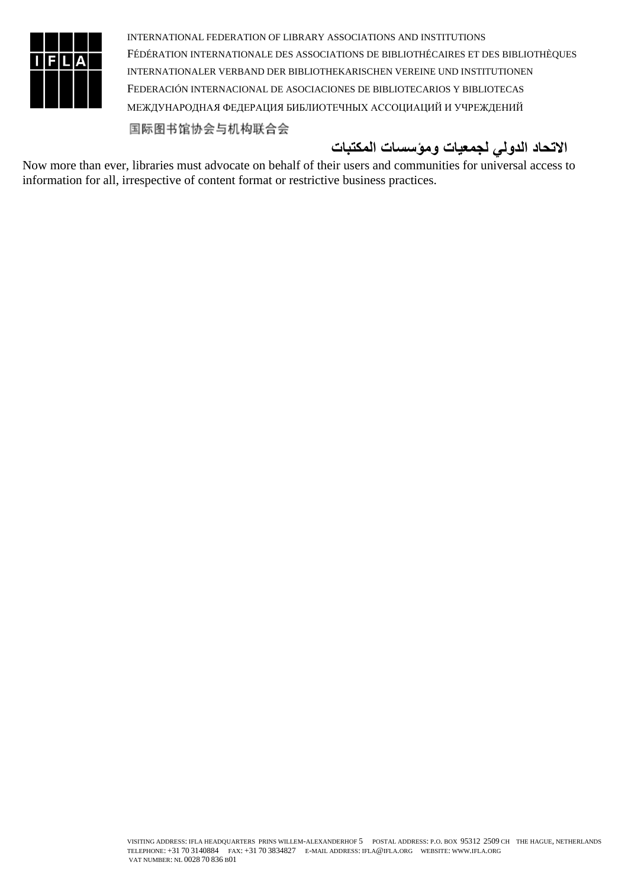

# **االتحاد الدولي لجمعيات ومؤسسات المكتبات**

Now more than ever, libraries must advocate on behalf of their users and communities for universal access to information for all, irrespective of content format or restrictive business practices.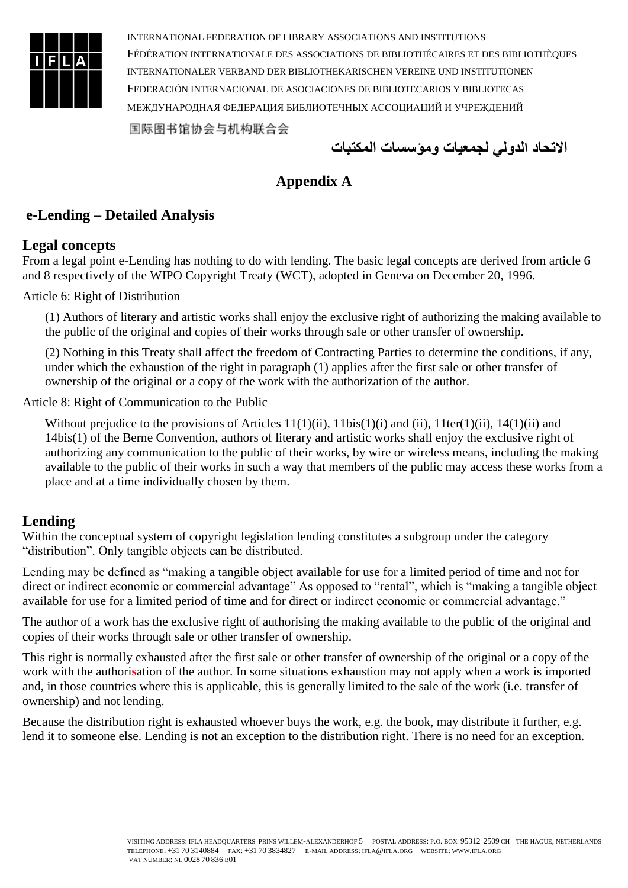

**االتحاد الدولي لجمعيات ومؤسسات المكتبات**

# **Appendix A**

# **e-Lending – Detailed Analysis**

#### **Legal concepts**

From a legal point e-Lending has nothing to do with lending. The basic legal concepts are derived from article 6 and 8 respectively of the WIPO Copyright Treaty (WCT), adopted in Geneva on December 20, 1996.

Article 6: Right of Distribution

(1) Authors of literary and artistic works shall enjoy the exclusive right of authorizing the making available to the public of the original and copies of their works through sale or other transfer of ownership.

(2) Nothing in this Treaty shall affect the freedom of Contracting Parties to determine the conditions, if any, under which the exhaustion of the right in paragraph (1) applies after the first sale or other transfer of ownership of the original or a copy of the work with the authorization of the author.

Article 8: Right of Communication to the Public

Without prejudice to the provisions of Articles 11(1)(ii), 11bis(1)(i) and (ii), 11ter(1)(ii), 14(1)(ii) and 14bis(1) of the Berne Convention, authors of literary and artistic works shall enjoy the exclusive right of authorizing any communication to the public of their works, by wire or wireless means, including the making available to the public of their works in such a way that members of the public may access these works from a place and at a time individually chosen by them.

# **Lending**

Within the conceptual system of copyright legislation lending constitutes a subgroup under the category "distribution". Only tangible objects can be distributed.

Lending may be defined as "making a tangible object available for use for a limited period of time and not for direct or indirect economic or commercial advantage" As opposed to "rental", which is "making a tangible object available for use for a limited period of time and for direct or indirect economic or commercial advantage."

The author of a work has the exclusive right of authorising the making available to the public of the original and copies of their works through sale or other transfer of ownership.

This right is normally exhausted after the first sale or other transfer of ownership of the original or a copy of the work with the authori**s**ation of the author. In some situations exhaustion may not apply when a work is imported and, in those countries where this is applicable, this is generally limited to the sale of the work (i.e. transfer of ownership) and not lending.

Because the distribution right is exhausted whoever buys the work, e.g. the book, may distribute it further, e.g. lend it to someone else. Lending is not an exception to the distribution right. There is no need for an exception.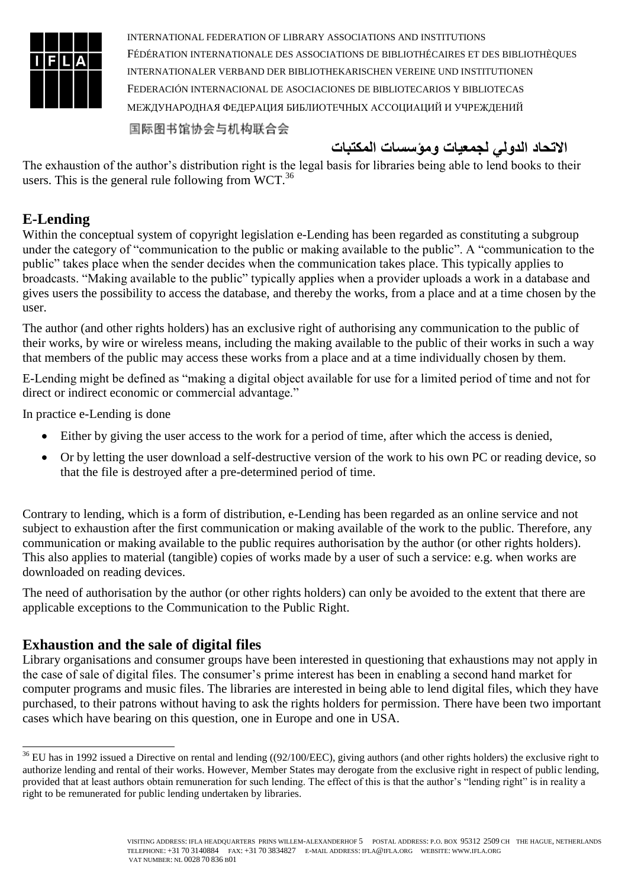

国际图书馆协会与机构联合会

**االتحاد الدولي لجمعيات ومؤسسات المكتبات**

The exhaustion of the author's distribution right is the legal basis for libraries being able to lend books to their users. This is the general rule following from WCT.<sup>36</sup>

# **E-Lending**

1

Within the conceptual system of copyright legislation e-Lending has been regarded as constituting a subgroup under the category of "communication to the public or making available to the public". A "communication to the public" takes place when the sender decides when the communication takes place. This typically applies to broadcasts. "Making available to the public" typically applies when a provider uploads a work in a database and gives users the possibility to access the database, and thereby the works, from a place and at a time chosen by the user.

The author (and other rights holders) has an exclusive right of authorising any communication to the public of their works, by wire or wireless means, including the making available to the public of their works in such a way that members of the public may access these works from a place and at a time individually chosen by them.

E-Lending might be defined as "making a digital object available for use for a limited period of time and not for direct or indirect economic or commercial advantage."

In practice e-Lending is done

- Either by giving the user access to the work for a period of time, after which the access is denied,
- Or by letting the user download a self-destructive version of the work to his own PC or reading device, so that the file is destroyed after a pre-determined period of time.

Contrary to lending, which is a form of distribution, e-Lending has been regarded as an online service and not subject to exhaustion after the first communication or making available of the work to the public. Therefore, any communication or making available to the public requires authorisation by the author (or other rights holders). This also applies to material (tangible) copies of works made by a user of such a service: e.g. when works are downloaded on reading devices.

The need of authorisation by the author (or other rights holders) can only be avoided to the extent that there are applicable exceptions to the Communication to the Public Right.

#### **Exhaustion and the sale of digital files**

Library organisations and consumer groups have been interested in questioning that exhaustions may not apply in the case of sale of digital files. The consumer's prime interest has been in enabling a second hand market for computer programs and music files. The libraries are interested in being able to lend digital files, which they have purchased, to their patrons without having to ask the rights holders for permission. There have been two important cases which have bearing on this question, one in Europe and one in USA.

 $36$  EU has in 1992 issued a Directive on rental and lending ((92/100/EEC), giving authors (and other rights holders) the exclusive right to authorize lending and rental of their works. However, Member States may derogate from the exclusive right in respect of public lending, provided that at least authors obtain remuneration for such lending. The effect of this is that the author's "lending right" is in reality a right to be remunerated for public lending undertaken by libraries.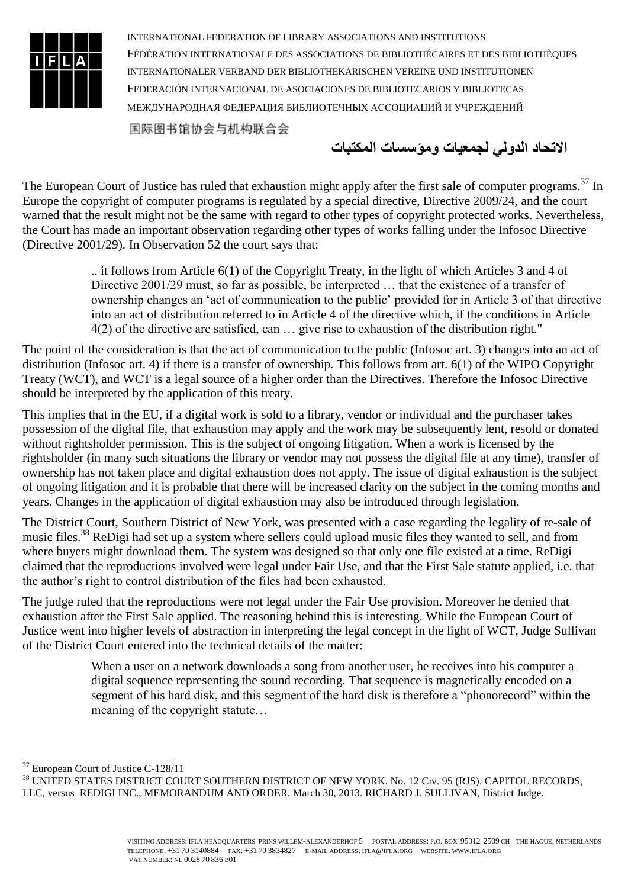

国际图书馆协会与机构联合会

**االتحاد الدولي لجمعيات ومؤسسات المكتبات**

The European Court of Justice has ruled that exhaustion might apply after the first sale of computer programs.<sup>37</sup> In Europe the copyright of computer programs is regulated by a special directive, Directive 2009/24, and the court warned that the result might not be the same with regard to other types of copyright protected works. Nevertheless, the Court has made an important observation regarding other types of works falling under the Infosoc Directive (Directive 2001/29). In Observation 52 the court says that:

> .. it follows from Article 6(1) of the Copyright Treaty, in the light of which Articles 3 and 4 of Directive 2001/29 must, so far as possible, be interpreted … that the existence of a transfer of ownership changes an 'act of communication to the public' provided for in Article 3 of that directive into an act of distribution referred to in Article 4 of the directive which, if the conditions in Article 4(2) of the directive are satisfied, can … give rise to exhaustion of the distribution right."

The point of the consideration is that the act of communication to the public (Infosoc art. 3) changes into an act of distribution (Infosoc art. 4) if there is a transfer of ownership. This follows from art. 6(1) of the WIPO Copyright Treaty (WCT), and WCT is a legal source of a higher order than the Directives. Therefore the Infosoc Directive should be interpreted by the application of this treaty.

This implies that in the EU, if a digital work is sold to a library, vendor or individual and the purchaser takes possession of the digital file, that exhaustion may apply and the work may be subsequently lent, resold or donated without rightsholder permission. This is the subject of ongoing litigation. When a work is licensed by the rightsholder (in many such situations the library or vendor may not possess the digital file at any time), transfer of ownership has not taken place and digital exhaustion does not apply. The issue of digital exhaustion is the subject of ongoing litigation and it is probable that there will be increased clarity on the subject in the coming months and years. Changes in the application of digital exhaustion may also be introduced through legislation.

The District Court, Southern District of New York, was presented with a case regarding the legality of re-sale of music files.<sup>38</sup> ReDigi had set up a system where sellers could upload music files they wanted to sell, and from where buyers might download them. The system was designed so that only one file existed at a time. ReDigi claimed that the reproductions involved were legal under Fair Use, and that the First Sale statute applied, i.e. that the author's right to control distribution of the files had been exhausted.

The judge ruled that the reproductions were not legal under the Fair Use provision. Moreover he denied that exhaustion after the First Sale applied. The reasoning behind this is interesting. While the European Court of Justice went into higher levels of abstraction in interpreting the legal concept in the light of WCT, Judge Sullivan of the District Court entered into the technical details of the matter:

> When a user on a network downloads a song from another user, he receives into his computer a digital sequence representing the sound recording. That sequence is magnetically encoded on a segment of his hard disk, and this segment of the hard disk is therefore a "phonorecord" within the meaning of the copyright statute…

1

<sup>&</sup>lt;sup>37</sup> European Court of Justice C-128/11

<sup>38</sup> UNITED STATES DISTRICT COURT SOUTHERN DISTRICT OF NEW YORK. No. 12 Civ. 95 (RJS). CAPITOL RECORDS, LLC, versus REDIGI INC., MEMORANDUM AND ORDER. March 30, 2013. RICHARD J. SULLIVAN, District Judge.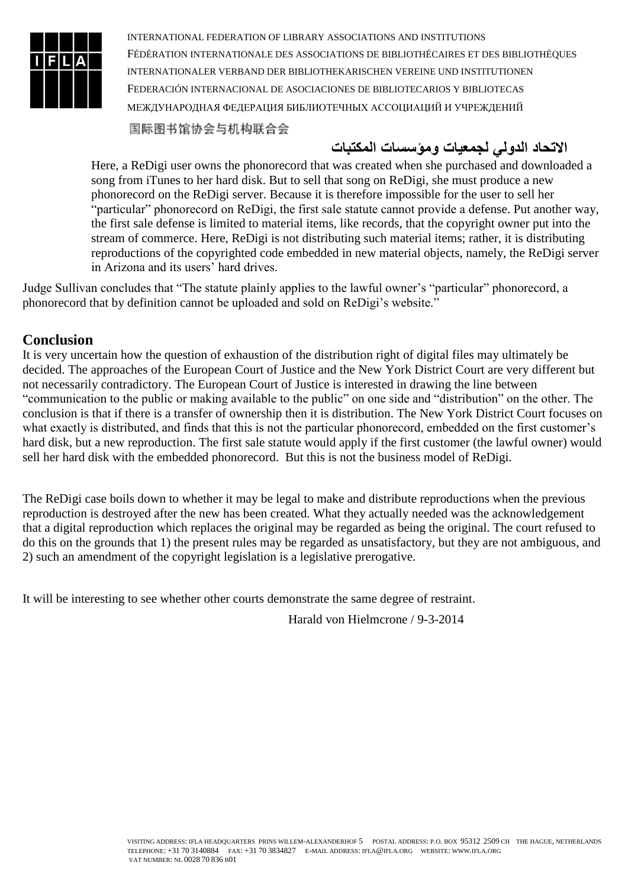

国际图书馆协会与机构联合会

# **االتحاد الدولي لجمعيات ومؤسسات المكتبات**

Here, a ReDigi user owns the phonorecord that was created when she purchased and downloaded a song from iTunes to her hard disk. But to sell that song on ReDigi, she must produce a new phonorecord on the ReDigi server. Because it is therefore impossible for the user to sell her "particular" phonorecord on ReDigi, the first sale statute cannot provide a defense. Put another way, the first sale defense is limited to material items, like records, that the copyright owner put into the stream of commerce. Here, ReDigi is not distributing such material items; rather, it is distributing reproductions of the copyrighted code embedded in new material objects, namely, the ReDigi server in Arizona and its users' hard drives.

Judge Sullivan concludes that "The statute plainly applies to the lawful owner's "particular" phonorecord, a phonorecord that by definition cannot be uploaded and sold on ReDigi's website."

#### **Conclusion**

It is very uncertain how the question of exhaustion of the distribution right of digital files may ultimately be decided. The approaches of the European Court of Justice and the New York District Court are very different but not necessarily contradictory. The European Court of Justice is interested in drawing the line between "communication to the public or making available to the public" on one side and "distribution" on the other. The conclusion is that if there is a transfer of ownership then it is distribution. The New York District Court focuses on what exactly is distributed, and finds that this is not the particular phonorecord, embedded on the first customer's hard disk, but a new reproduction. The first sale statute would apply if the first customer (the lawful owner) would sell her hard disk with the embedded phonorecord. But this is not the business model of ReDigi.

The ReDigi case boils down to whether it may be legal to make and distribute reproductions when the previous reproduction is destroyed after the new has been created. What they actually needed was the acknowledgement that a digital reproduction which replaces the original may be regarded as being the original. The court refused to do this on the grounds that 1) the present rules may be regarded as unsatisfactory, but they are not ambiguous, and 2) such an amendment of the copyright legislation is a legislative prerogative.

It will be interesting to see whether other courts demonstrate the same degree of restraint.

Harald von Hielmcrone / 9-3-2014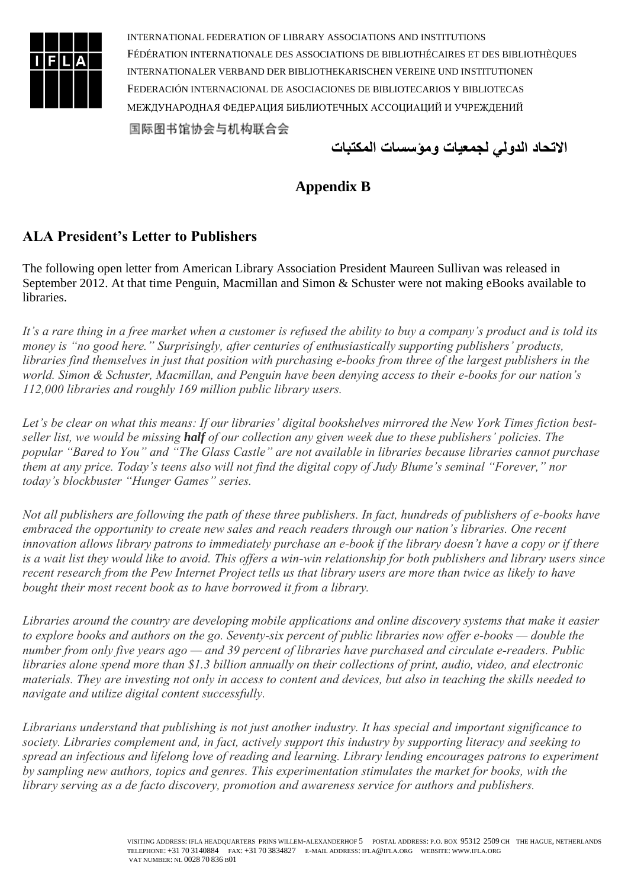

**االتحاد الدولي لجمعيات ومؤسسات المكتبات**

# **Appendix B**

# **ALA President's Letter to Publishers**

The following open letter from American Library Association President Maureen Sullivan was released in September 2012. At that time Penguin, Macmillan and Simon & Schuster were not making eBooks available to libraries.

*It's a rare thing in a free market when a customer is refused the ability to buy a company's product and is told its money is "no good here." Surprisingly, after centuries of enthusiastically supporting publishers' products, libraries find themselves in just that position with purchasing e-books from three of the largest publishers in the world. Simon & Schuster, Macmillan, and Penguin have been denying access to their e-books for our nation's 112,000 libraries and roughly 169 million public library users.*

Let's be clear on what this means: If our libraries' digital bookshelves mirrored the New York Times fiction best*seller list, we would be missing half of our collection any given week due to these publishers' policies. The popular "Bared to You" and "The Glass Castle" are not available in libraries because libraries cannot purchase them at any price. Today's teens also will not find the digital copy of Judy Blume's seminal "Forever," nor today's blockbuster "Hunger Games" series.*

*Not all publishers are following the path of these three publishers. In fact, hundreds of publishers of e-books have embraced the opportunity to create new sales and reach readers through our nation's libraries. One recent innovation allows library patrons to immediately purchase an e-book if the library doesn't have a copy or if there is a wait list they would like to avoid. This offers a win-win relationship for both publishers and library users since recent research from the Pew Internet Project tells us that library users are more than twice as likely to have bought their most recent book as to have borrowed it from a library.*

*Libraries around the country are developing mobile applications and online discovery systems that make it easier to explore books and authors on the go. Seventy-six percent of public libraries now offer e-books — double the number from only five years ago — and 39 percent of libraries have purchased and circulate e-readers. Public libraries alone spend more than \$1.3 billion annually on their collections of print, audio, video, and electronic materials. They are investing not only in access to content and devices, but also in teaching the skills needed to navigate and utilize digital content successfully.*

*Librarians understand that publishing is not just another industry. It has special and important significance to society. Libraries complement and, in fact, actively support this industry by supporting literacy and seeking to spread an infectious and lifelong love of reading and learning. Library lending encourages patrons to experiment by sampling new authors, topics and genres. This experimentation stimulates the market for books, with the library serving as a de facto discovery, promotion and awareness service for authors and publishers.*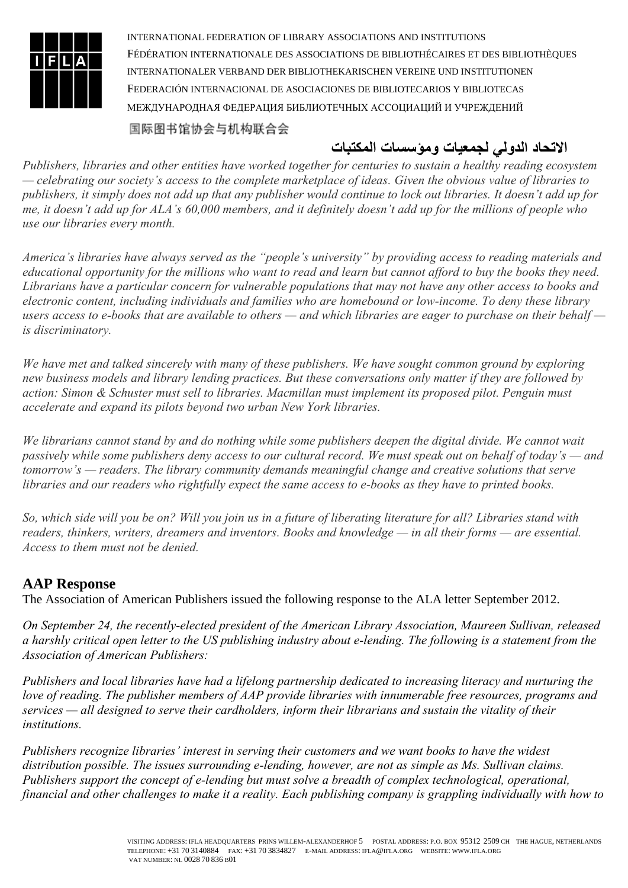

国际图书馆协会与机构联合会

# **االتحاد الدولي لجمعيات ومؤسسات المكتبات**

*Publishers, libraries and other entities have worked together for centuries to sustain a healthy reading ecosystem — celebrating our society's access to the complete marketplace of ideas. Given the obvious value of libraries to publishers, it simply does not add up that any publisher would continue to lock out libraries. It doesn't add up for me, it doesn't add up for ALA's 60,000 members, and it definitely doesn't add up for the millions of people who use our libraries every month.*

*America's libraries have always served as the "people's university" by providing access to reading materials and educational opportunity for the millions who want to read and learn but cannot afford to buy the books they need. Librarians have a particular concern for vulnerable populations that may not have any other access to books and electronic content, including individuals and families who are homebound or low-income. To deny these library users access to e-books that are available to others — and which libraries are eager to purchase on their behalf is discriminatory.*

*We have met and talked sincerely with many of these publishers. We have sought common ground by exploring new business models and library lending practices. But these conversations only matter if they are followed by action: Simon & Schuster must sell to libraries. Macmillan must implement its proposed pilot. Penguin must accelerate and expand its pilots beyond two urban New York libraries.*

*We librarians cannot stand by and do nothing while some publishers deepen the digital divide. We cannot wait passively while some publishers deny access to our cultural record. We must speak out on behalf of today's — and tomorrow's — readers. The library community demands meaningful change and creative solutions that serve libraries and our readers who rightfully expect the same access to e-books as they have to printed books.*

*So, which side will you be on? Will you join us in a future of liberating literature for all? Libraries stand with readers, thinkers, writers, dreamers and inventors. Books and knowledge — in all their forms — are essential. Access to them must not be denied.*

# **AAP Response**

The Association of American Publishers issued the following response to the ALA letter September 2012.

*On September 24, the recently-elected president of the American Library Association, Maureen Sullivan, released a harshly critical open letter to the US publishing industry about e-lending. The following is a statement from the Association of American Publishers:* 

*Publishers and local libraries have had a lifelong partnership dedicated to increasing literacy and nurturing the love of reading. The publisher members of AAP provide libraries with innumerable free resources, programs and services — all designed to serve their cardholders, inform their librarians and sustain the vitality of their institutions.* 

*Publishers recognize libraries' interest in serving their customers and we want books to have the widest distribution possible. The issues surrounding e-lending, however, are not as simple as Ms. Sullivan claims. Publishers support the concept of e-lending but must solve a breadth of complex technological, operational, financial and other challenges to make it a reality. Each publishing company is grappling individually with how to*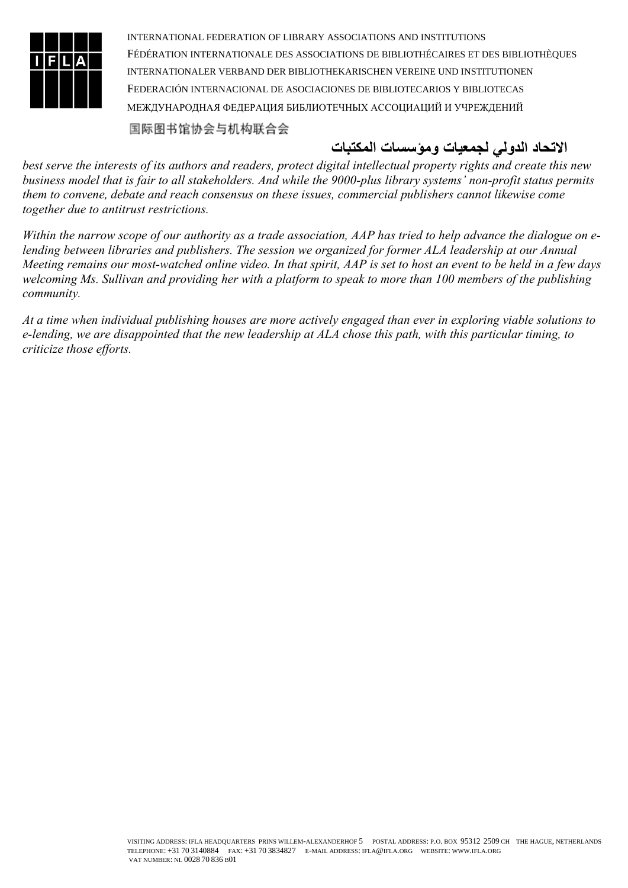

国际图书馆协会与机构联合会

# **االتحاد الدولي لجمعيات ومؤسسات المكتبات**

*best serve the interests of its authors and readers, protect digital intellectual property rights and create this new business model that is fair to all stakeholders. And while the 9000-plus library systems' non-profit status permits them to convene, debate and reach consensus on these issues, commercial publishers cannot likewise come together due to antitrust restrictions.* 

*Within the narrow scope of our authority as a trade association, AAP has tried to help advance the dialogue on elending between libraries and publishers. The session we organized for former ALA leadership at our Annual Meeting remains our most-watched online video. In that spirit, AAP is set to host an event to be held in a few days welcoming Ms. Sullivan and providing her with a platform to speak to more than 100 members of the publishing community.* 

*At a time when individual publishing houses are more actively engaged than ever in exploring viable solutions to e-lending, we are disappointed that the new leadership at ALA chose this path, with this particular timing, to criticize those efforts.*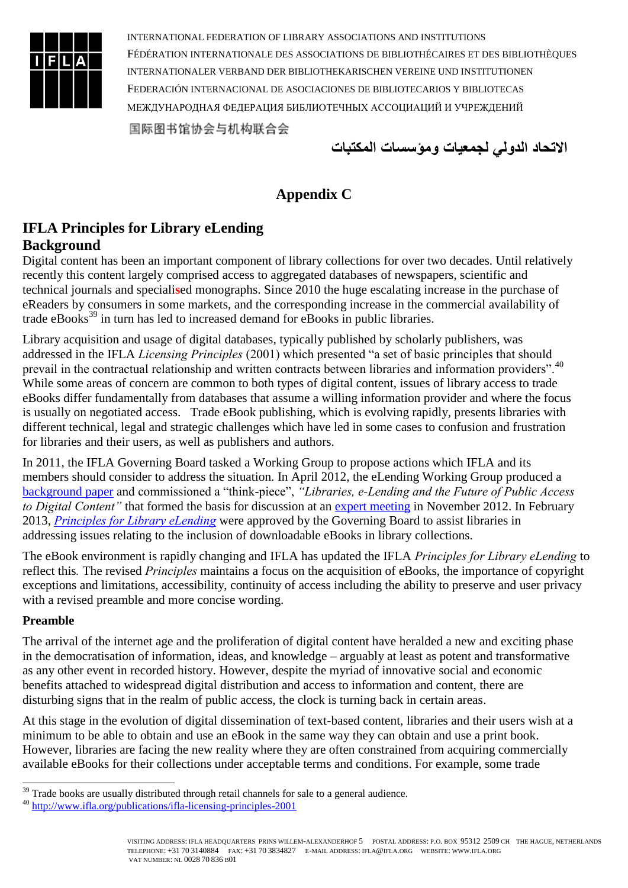

**االتحاد الدولي لجمعيات ومؤسسات المكتبات**

# **Appendix C**

# **IFLA Principles for Library eLending Background**

Digital content has been an important component of library collections for over two decades. Until relatively recently this content largely comprised access to aggregated databases of newspapers, scientific and technical journals and speciali**s**ed monographs. Since 2010 the huge escalating increase in the purchase of eReaders by consumers in some markets, and the corresponding increase in the commercial availability of trade eBooks<sup>39</sup> in turn has led to increased demand for eBooks in public libraries.

Library acquisition and usage of digital databases, typically published by scholarly publishers, was addressed in the IFLA *Licensing Principles* (2001) which presented "a set of basic principles that should prevail in the contractual relationship and written contracts between libraries and information providers".<sup>40</sup> While some areas of concern are common to both types of digital content, issues of library access to trade eBooks differ fundamentally from databases that assume a willing information provider and where the focus is usually on negotiated access. Trade eBook publishing, which is evolving rapidly, presents libraries with different technical, legal and strategic challenges which have led in some cases to confusion and frustration for libraries and their users, as well as publishers and authors.

In 2011, the IFLA Governing Board tasked a Working Group to propose actions which IFLA and its members should consider to address the situation. In April 2012, the eLending Working Group produced a [background paper](http://www.ifla.org/publications/background-paper-on-e-lending-2012) and commissioned a "think-piece", *"Libraries, e-Lending and the Future of Public Access to Digital Content"* that formed the basis for discussion at an [expert meeting](http://www.ifla.org/news/ifla-hosts-expert-meeting-on-e-lending-in-libraries) in November 2012. In February 2013, *[Principles for Library eLending](http://www.ifla.org/node/7418)* were approved by the Governing Board to assist libraries in addressing issues relating to the inclusion of downloadable eBooks in library collections.

The eBook environment is rapidly changing and IFLA has updated the IFLA *Principles for Library eLending* to reflect this*.* The revised *Principles* maintains a focus on the acquisition of eBooks, the importance of copyright exceptions and limitations, accessibility, continuity of access including the ability to preserve and user privacy with a revised preamble and more concise wording.

#### **Preamble**

1

The arrival of the internet age and the proliferation of digital content have heralded a new and exciting phase in the democratisation of information, ideas, and knowledge – arguably at least as potent and transformative as any other event in recorded history. However, despite the myriad of innovative social and economic benefits attached to widespread digital distribution and access to information and content, there are disturbing signs that in the realm of public access, the clock is turning back in certain areas.

At this stage in the evolution of digital dissemination of text-based content, libraries and their users wish at a minimum to be able to obtain and use an eBook in the same way they can obtain and use a print book. However, libraries are facing the new reality where they are often constrained from acquiring commercially available eBooks for their collections under acceptable terms and conditions. For example, some trade

 $39$  Trade books are usually distributed through retail channels for sale to a general audience.

<sup>40</sup> <http://www.ifla.org/publications/ifla-licensing-principles-2001>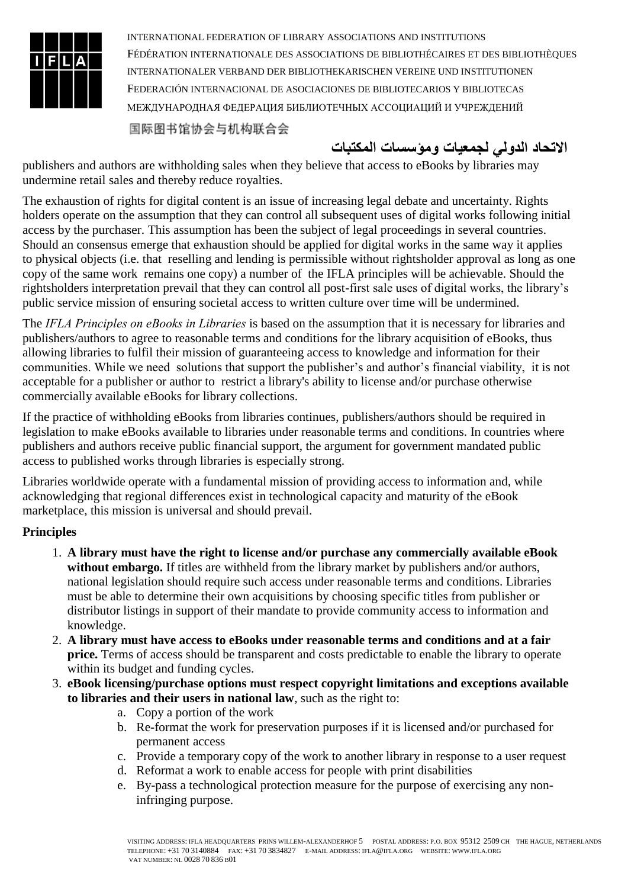

国际图书馆协会与机构联合会

# **االتحاد الدولي لجمعيات ومؤسسات المكتبات**

publishers and authors are withholding sales when they believe that access to eBooks by libraries may undermine retail sales and thereby reduce royalties.

The exhaustion of rights for digital content is an issue of increasing legal debate and uncertainty. Rights holders operate on the assumption that they can control all subsequent uses of digital works following initial access by the purchaser. This assumption has been the subject of legal proceedings in several countries. Should an consensus emerge that exhaustion should be applied for digital works in the same way it applies to physical objects (i.e. that reselling and lending is permissible without rightsholder approval as long as one copy of the same work remains one copy) a number of the IFLA principles will be achievable. Should the rightsholders interpretation prevail that they can control all post-first sale uses of digital works, the library's public service mission of ensuring societal access to written culture over time will be undermined.

The *IFLA Principles on eBooks in Libraries* is based on the assumption that it is necessary for libraries and publishers/authors to agree to reasonable terms and conditions for the library acquisition of eBooks, thus allowing libraries to fulfil their mission of guaranteeing access to knowledge and information for their communities. While we need solutions that support the publisher's and author's financial viability, it is not acceptable for a publisher or author to restrict a library's ability to license and/or purchase otherwise commercially available eBooks for library collections.

If the practice of withholding eBooks from libraries continues, publishers/authors should be required in legislation to make eBooks available to libraries under reasonable terms and conditions. In countries where publishers and authors receive public financial support, the argument for government mandated public access to published works through libraries is especially strong.

Libraries worldwide operate with a fundamental mission of providing access to information and, while acknowledging that regional differences exist in technological capacity and maturity of the eBook marketplace, this mission is universal and should prevail.

#### **Principles**

- 1. **A library must have the right to license and/or purchase any commercially available eBook without embargo.** If titles are withheld from the library market by publishers and/or authors, national legislation should require such access under reasonable terms and conditions. Libraries must be able to determine their own acquisitions by choosing specific titles from publisher or distributor listings in support of their mandate to provide community access to information and knowledge.
- 2. **A library must have access to eBooks under reasonable terms and conditions and at a fair price.** Terms of access should be transparent and costs predictable to enable the library to operate within its budget and funding cycles.
- 3. **eBook licensing/purchase options must respect copyright limitations and exceptions available to libraries and their users in national law**, such as the right to:
	- a. Copy a portion of the work
	- b. Re-format the work for preservation purposes if it is licensed and/or purchased for permanent access
	- c. Provide a temporary copy of the work to another library in response to a user request
	- d. Reformat a work to enable access for people with print disabilities
	- e. By-pass a technological protection measure for the purpose of exercising any noninfringing purpose.